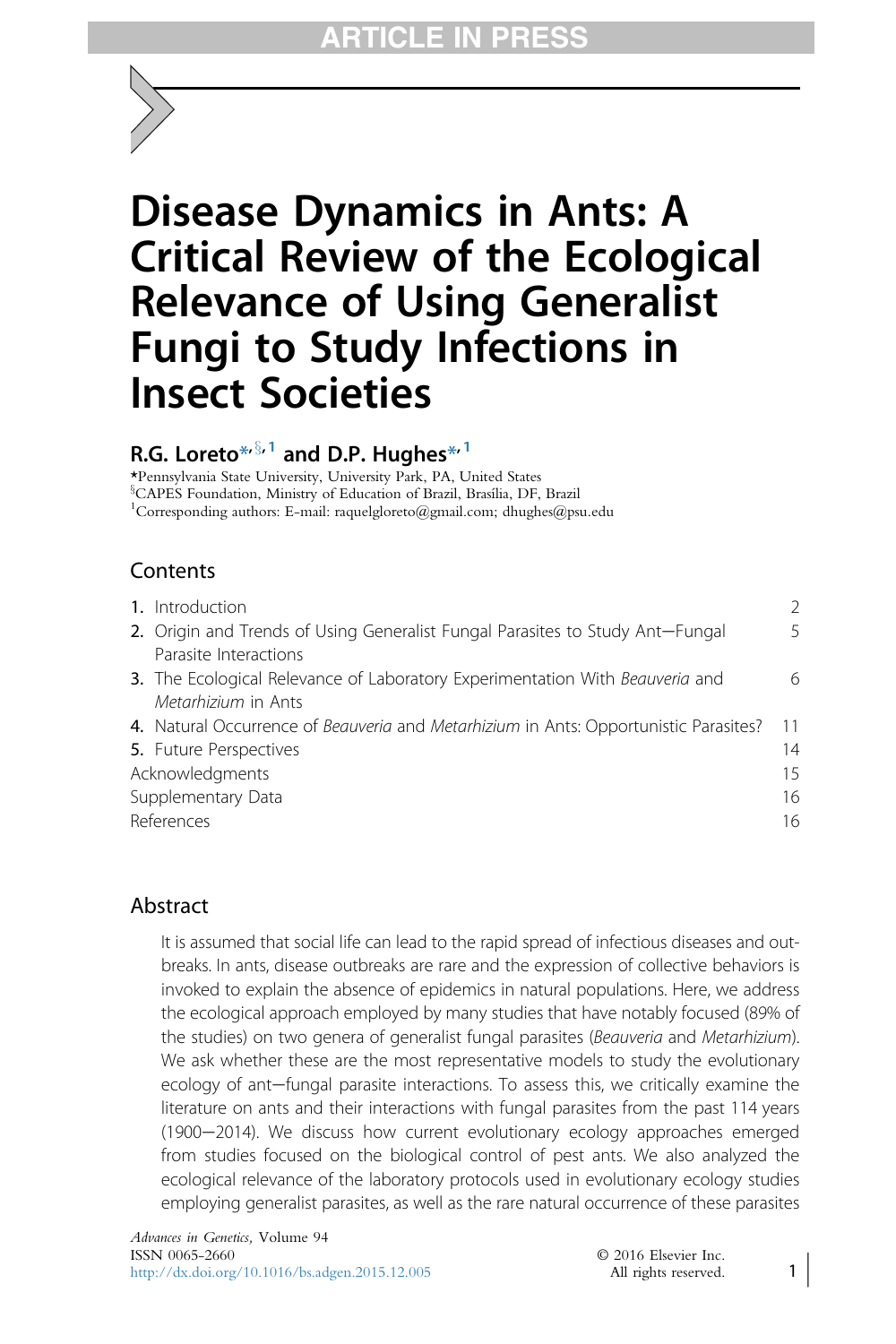# Disease Dynamics in Ants: A Critical Review of the Ecological Relevance of Using Generalist Fungi to Study Infections in Insect Societies

# R.G. Loreto $*^{\sqrt{5},1}$  and D.P. Hughes $*^1$

\*Pennsylvania State University, University Park, PA, United States <sup>§</sup>CAPES Foundation, Ministry of Education of Brazil, Brasília, DF, Brazil 1 Corresponding authors: E-mail: raquelgloreto@gmail.com; dhughes@psu.edu

## **Contents**

| 1. Introduction                                                                      | $\mathcal{P}$ |
|--------------------------------------------------------------------------------------|---------------|
| 2. Origin and Trends of Using Generalist Fungal Parasites to Study Ant-Fungal        | 5             |
| Parasite Interactions                                                                |               |
| 3. The Ecological Relevance of Laboratory Experimentation With Beauveria and         | 6             |
| Metarhizium in Ants                                                                  |               |
| 4. Natural Occurrence of Beauveria and Metarhizium in Ants: Opportunistic Parasites? | 11            |
| <b>5.</b> Future Perspectives                                                        | 14            |
| Acknowledgments                                                                      |               |
| Supplementary Data                                                                   |               |
| References<br>16                                                                     |               |
|                                                                                      |               |

### Abstract

It is assumed that social life can lead to the rapid spread of infectious diseases and outbreaks. In ants, disease outbreaks are rare and the expression of collective behaviors is invoked to explain the absence of epidemics in natural populations. Here, we address the ecological approach employed by many studies that have notably focused (89% of the studies) on two genera of generalist fungal parasites (Beauveria and Metarhizium). We ask whether these are the most representative models to study the evolutionary ecology of ant-fungal parasite interactions. To assess this, we critically examine the literature on ants and their interactions with fungal parasites from the past 114 years (1900-2014). We discuss how current evolutionary ecology approaches emerged from studies focused on the biological control of pest ants. We also analyzed the ecological relevance of the laboratory protocols used in evolutionary ecology studies employing generalist parasites, as well as the rare natural occurrence of these parasites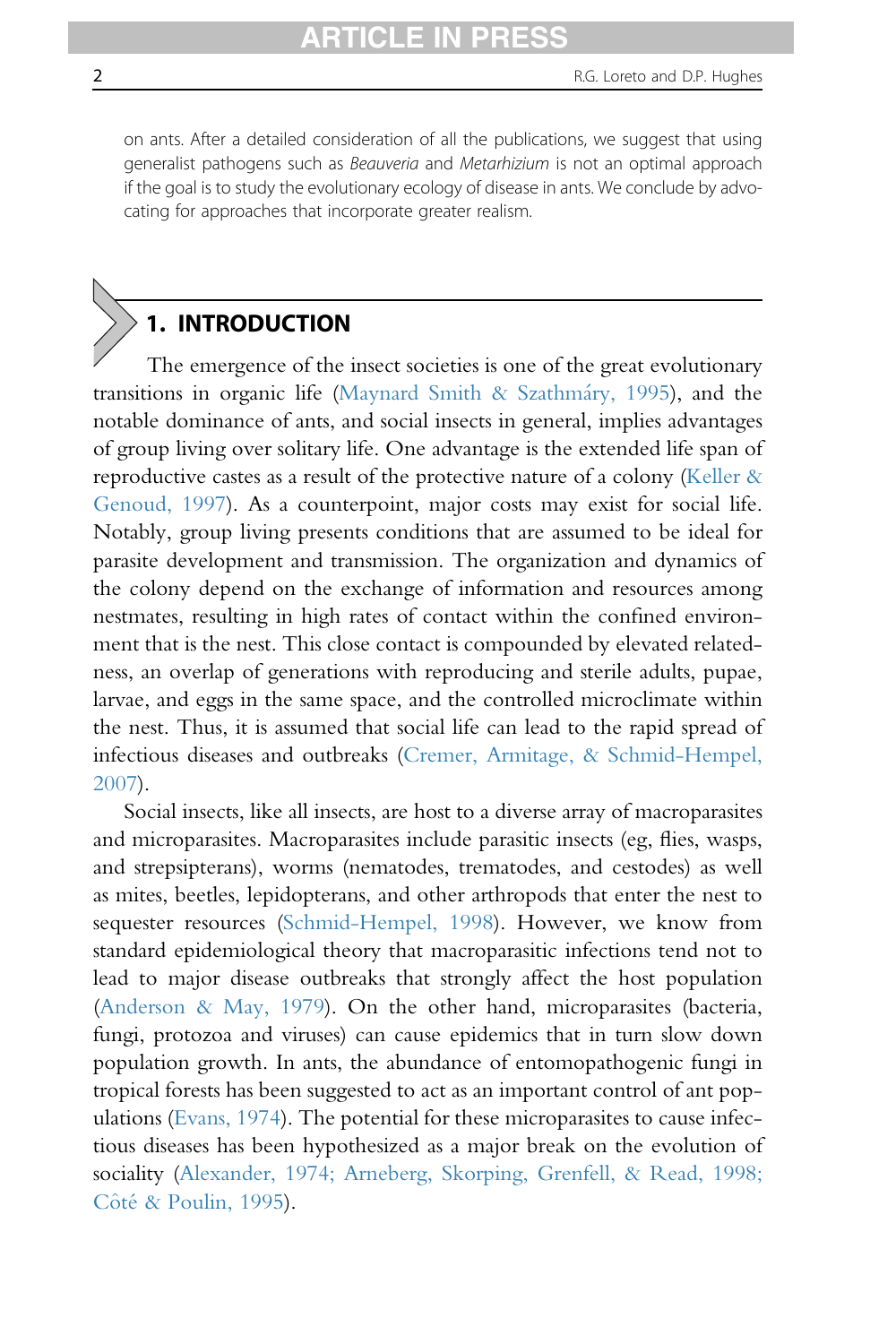on ants. After a detailed consideration of all the publications, we suggest that using generalist pathogens such as Beauveria and Metarhizium is not an optimal approach if the goal is to study the evolutionary ecology of disease in ants. We conclude by advocating for approaches that incorporate greater realism.

# 1. INTRODUCTION

The emergence of the insect societies is one of the great evolutionary transitions in organic life (Maynard Smith & Szathmáry, 1995), and the notable dominance of ants, and social insects in general, implies advantages of group living over solitary life. One advantage is the extended life span of reproductive castes as a result of the protective nature of a colony (Keller  $\&$ Genoud, 1997). As a counterpoint, major costs may exist for social life. Notably, group living presents conditions that are assumed to be ideal for parasite development and transmission. The organization and dynamics of the colony depend on the exchange of information and resources among nestmates, resulting in high rates of contact within the confined environment that is the nest. This close contact is compounded by elevated relatedness, an overlap of generations with reproducing and sterile adults, pupae, larvae, and eggs in the same space, and the controlled microclimate within the nest. Thus, it is assumed that social life can lead to the rapid spread of infectious diseases and outbreaks (Cremer, Armitage, & Schmid-Hempel, 2007).

Social insects, like all insects, are host to a diverse array of macroparasites and microparasites. Macroparasites include parasitic insects (eg, flies, wasps, and strepsipterans), worms (nematodes, trematodes, and cestodes) as well as mites, beetles, lepidopterans, and other arthropods that enter the nest to sequester resources (Schmid-Hempel, 1998). However, we know from standard epidemiological theory that macroparasitic infections tend not to lead to major disease outbreaks that strongly affect the host population (Anderson & May, 1979). On the other hand, microparasites (bacteria, fungi, protozoa and viruses) can cause epidemics that in turn slow down population growth. In ants, the abundance of entomopathogenic fungi in tropical forests has been suggested to act as an important control of ant populations (Evans, 1974). The potential for these microparasites to cause infectious diseases has been hypothesized as a major break on the evolution of sociality (Alexander, 1974; Arneberg, Skorping, Grenfell, & Read, 1998; Côté & Poulin, 1995).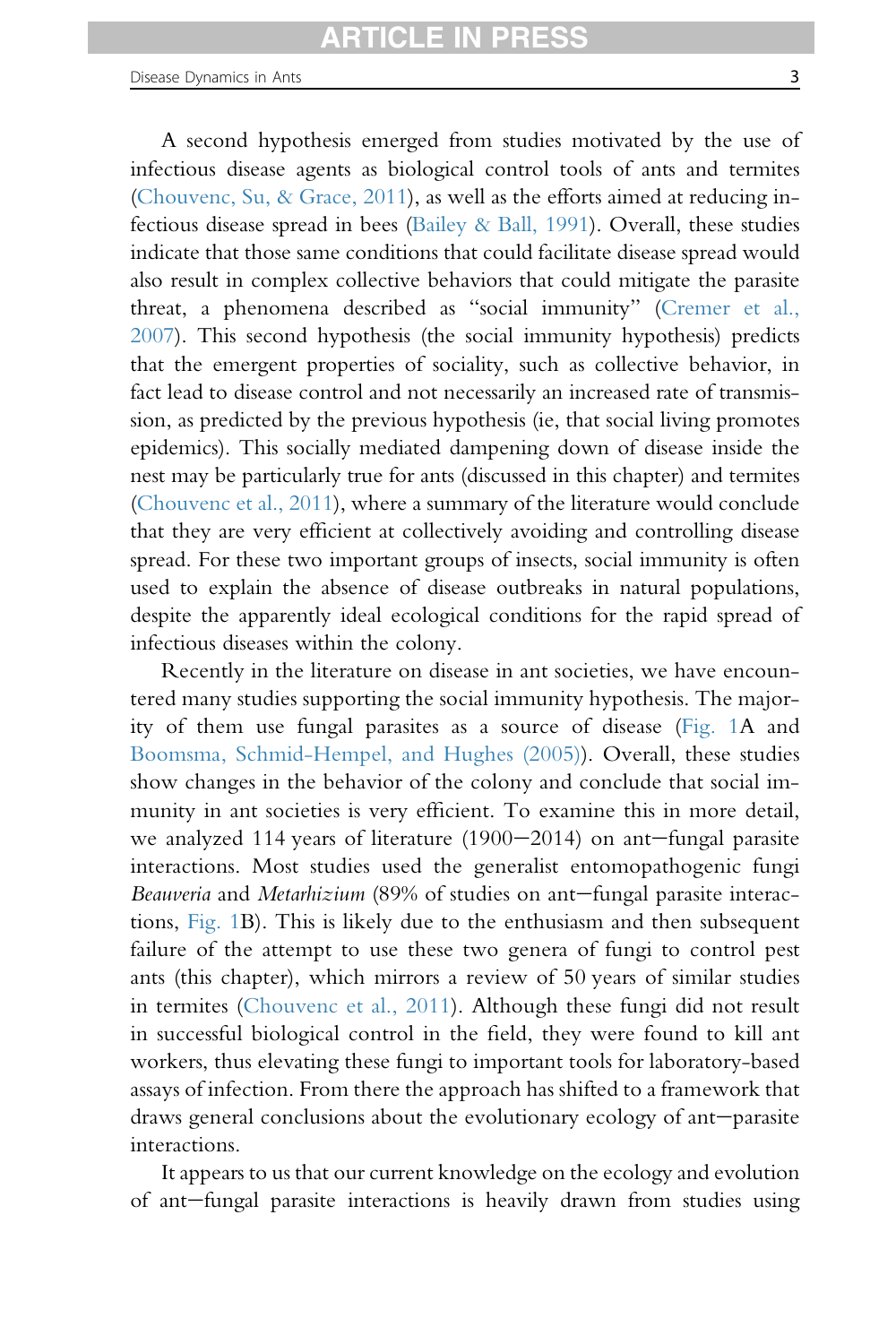infectious diseases within the colony.

A second hypothesis emerged from studies motivated by the use of infectious disease agents as biological control tools of ants and termites (Chouvenc, Su, & Grace, 2011), as well as the efforts aimed at reducing infectious disease spread in bees (Bailey & Ball, 1991). Overall, these studies indicate that those same conditions that could facilitate disease spread would also result in complex collective behaviors that could mitigate the parasite threat, a phenomena described as "social immunity" (Cremer et al., 2007). This second hypothesis (the social immunity hypothesis) predicts that the emergent properties of sociality, such as collective behavior, in fact lead to disease control and not necessarily an increased rate of transmission, as predicted by the previous hypothesis (ie, that social living promotes epidemics). This socially mediated dampening down of disease inside the nest may be particularly true for ants (discussed in this chapter) and termites (Chouvenc et al., 2011), where a summary of the literature would conclude that they are very efficient at collectively avoiding and controlling disease spread. For these two important groups of insects, social immunity is often used to explain the absence of disease outbreaks in natural populations, despite the apparently ideal ecological conditions for the rapid spread of

Recently in the literature on disease in ant societies, we have encountered many studies supporting the social immunity hypothesis. The majority of them use fungal parasites as a source of disease (Fig. 1A and Boomsma, Schmid-Hempel, and Hughes (2005)). Overall, these studies show changes in the behavior of the colony and conclude that social immunity in ant societies is very efficient. To examine this in more detail, we analyzed 114 years of literature  $(1900-2014)$  on ant-fungal parasite interactions. Most studies used the generalist entomopathogenic fungi Beauveria and Metarhizium (89% of studies on ant-fungal parasite interactions, Fig. 1B). This is likely due to the enthusiasm and then subsequent failure of the attempt to use these two genera of fungi to control pest ants (this chapter), which mirrors a review of 50 years of similar studies in termites (Chouvenc et al., 2011). Although these fungi did not result in successful biological control in the field, they were found to kill ant workers, thus elevating these fungi to important tools for laboratory-based assays of infection. From there the approach has shifted to a framework that draws general conclusions about the evolutionary ecology of ant-parasite interactions.

It appears to us that our current knowledge on the ecology and evolution of ant-fungal parasite interactions is heavily drawn from studies using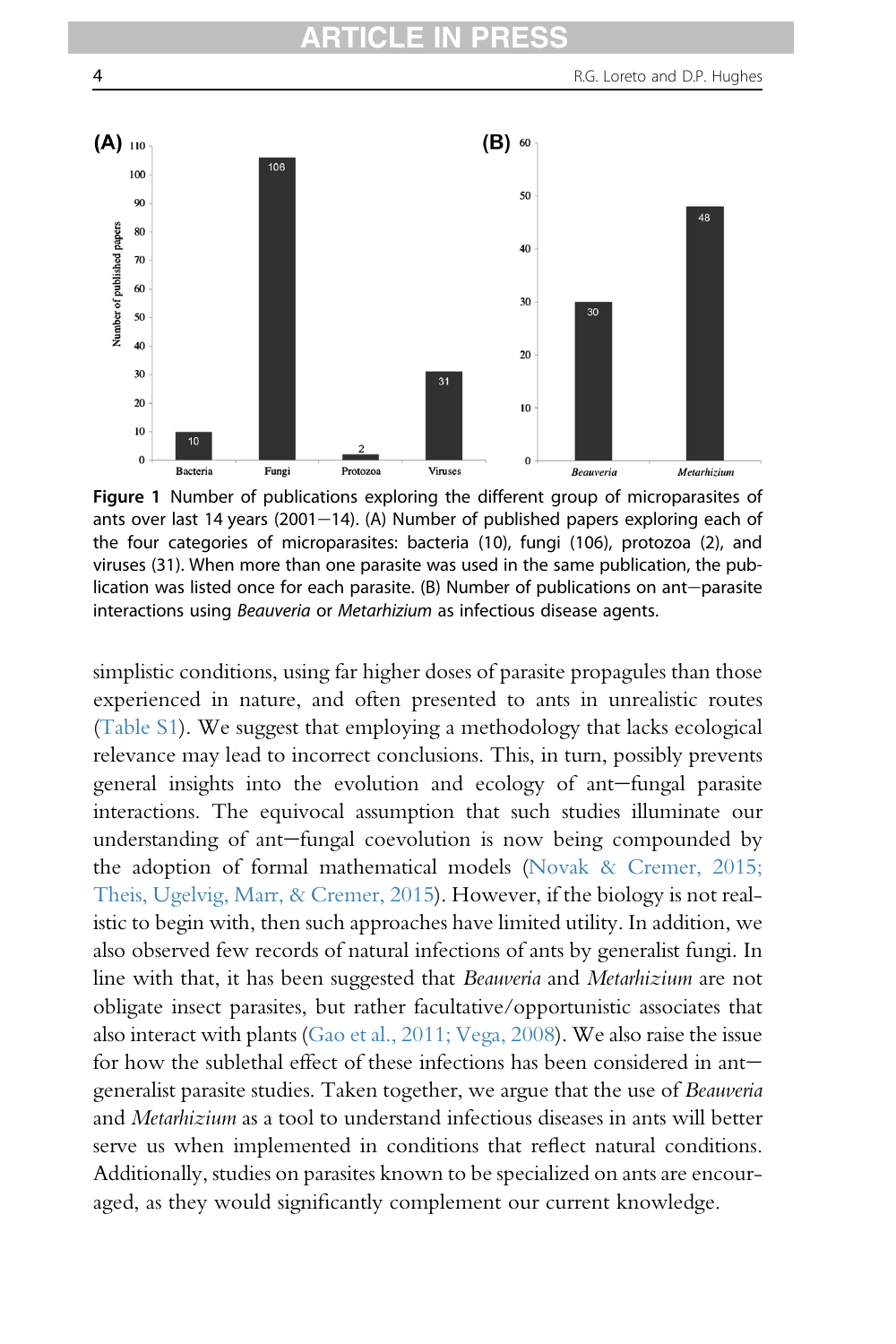

Figure 1 Number of publications exploring the different group of microparasites of ants over last 14 years (2001–14). (A) Number of published papers exploring each of the four categories of microparasites: bacteria (10), fungi (106), protozoa (2), and viruses (31). When more than one parasite was used in the same publication, the publication was listed once for each parasite.  $(B)$  Number of publications on ant-parasite interactions using Beauveria or Metarhizium as infectious disease agents.

simplistic conditions, using far higher doses of parasite propagules than those experienced in nature, and often presented to ants in unrealistic routes (Table S1). We suggest that employing a methodology that lacks ecological relevance may lead to incorrect conclusions. This, in turn, possibly prevents general insights into the evolution and ecology of ant-fungal parasite interactions. The equivocal assumption that such studies illuminate our understanding of ant-fungal coevolution is now being compounded by the adoption of formal mathematical models (Novak & Cremer, 2015; Theis, Ugelvig, Marr, & Cremer, 2015). However, if the biology is not realistic to begin with, then such approaches have limited utility. In addition, we also observed few records of natural infections of ants by generalist fungi. In line with that, it has been suggested that Beauveria and Metarhizium are not obligate insect parasites, but rather facultative/opportunistic associates that also interact with plants (Gao et al., 2011; Vega, 2008). We also raise the issue for how the sublethal effect of these infections has been considered in antgeneralist parasite studies. Taken together, we argue that the use of Beauveria and Metarhizium as a tool to understand infectious diseases in ants will better serve us when implemented in conditions that reflect natural conditions. Additionally, studies on parasites known to be specialized on ants are encouraged, as they would significantly complement our current knowledge.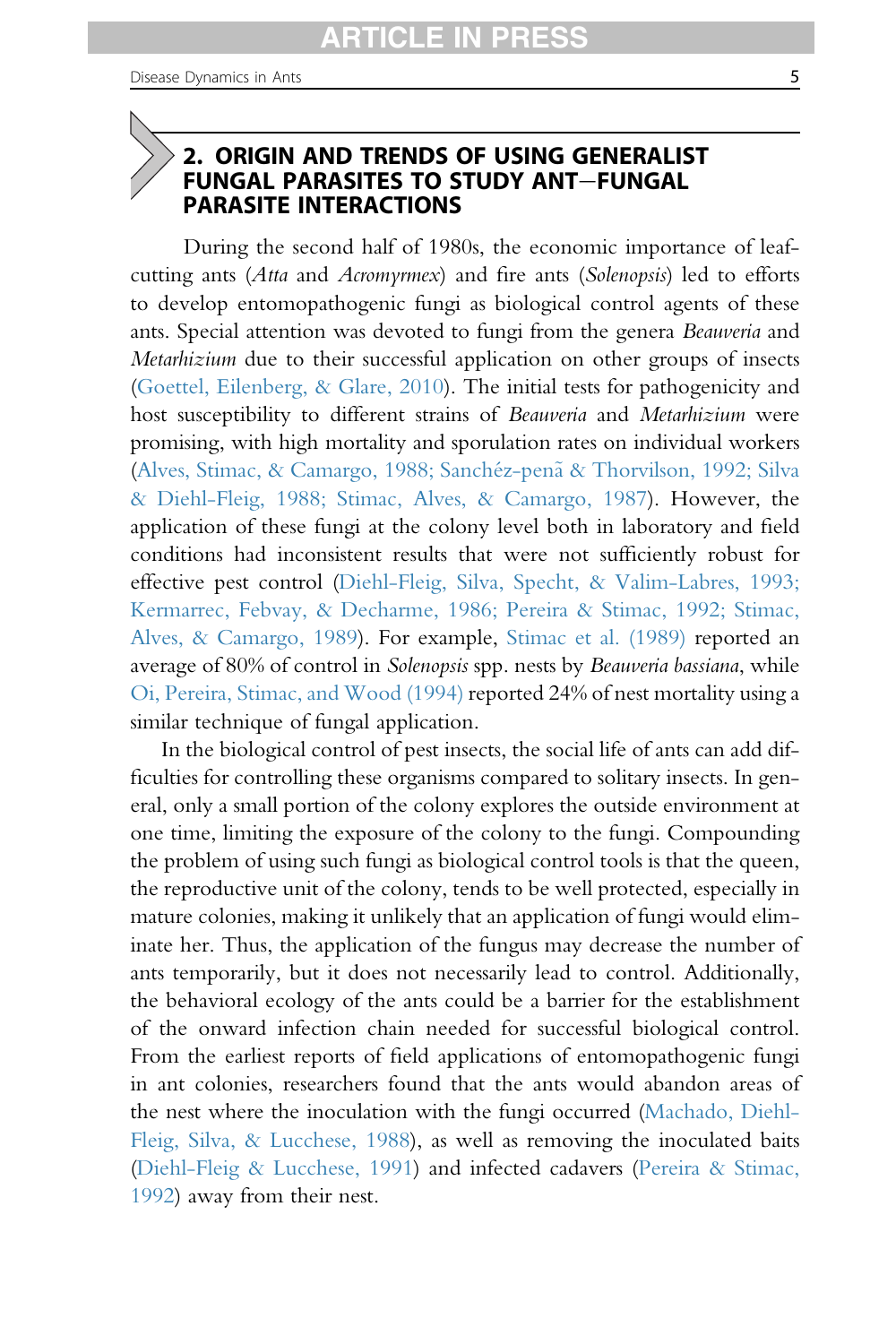#### 2. ORIGIN AND TRENDS OF USING GENERALIST FUNGAL PARASITES TO STUDY ANT-FUNGAL PARASITE INTERACTIONS

During the second half of 1980s, the economic importance of leafcutting ants (Atta and Acromyrmex) and fire ants (Solenopsis) led to efforts to develop entomopathogenic fungi as biological control agents of these ants. Special attention was devoted to fungi from the genera Beauveria and Metarhizium due to their successful application on other groups of insects (Goettel, Eilenberg, & Glare, 2010). The initial tests for pathogenicity and host susceptibility to different strains of Beauveria and Metarhizium were promising, with high mortality and sporulation rates on individual workers (Alves, Stimac, & Camargo, 1988; Sanchéz-penã & Thorvilson, 1992; Silva & Diehl-Fleig, 1988; Stimac, Alves, & Camargo, 1987). However, the application of these fungi at the colony level both in laboratory and field conditions had inconsistent results that were not sufficiently robust for effective pest control (Diehl-Fleig, Silva, Specht, & Valim-Labres, 1993; Kermarrec, Febvay, & Decharme, 1986; Pereira & Stimac, 1992; Stimac, Alves, & Camargo, 1989). For example, Stimac et al. (1989) reported an average of 80% of control in Solenopsis spp. nests by Beauveria bassiana, while Oi, Pereira, Stimac, and Wood (1994) reported 24% of nest mortality using a similar technique of fungal application.

In the biological control of pest insects, the social life of ants can add difficulties for controlling these organisms compared to solitary insects. In general, only a small portion of the colony explores the outside environment at one time, limiting the exposure of the colony to the fungi. Compounding the problem of using such fungi as biological control tools is that the queen, the reproductive unit of the colony, tends to be well protected, especially in mature colonies, making it unlikely that an application of fungi would eliminate her. Thus, the application of the fungus may decrease the number of ants temporarily, but it does not necessarily lead to control. Additionally, the behavioral ecology of the ants could be a barrier for the establishment of the onward infection chain needed for successful biological control. From the earliest reports of field applications of entomopathogenic fungi in ant colonies, researchers found that the ants would abandon areas of the nest where the inoculation with the fungi occurred (Machado, Diehl-Fleig, Silva, & Lucchese, 1988), as well as removing the inoculated baits (Diehl-Fleig & Lucchese, 1991) and infected cadavers (Pereira & Stimac, 1992) away from their nest.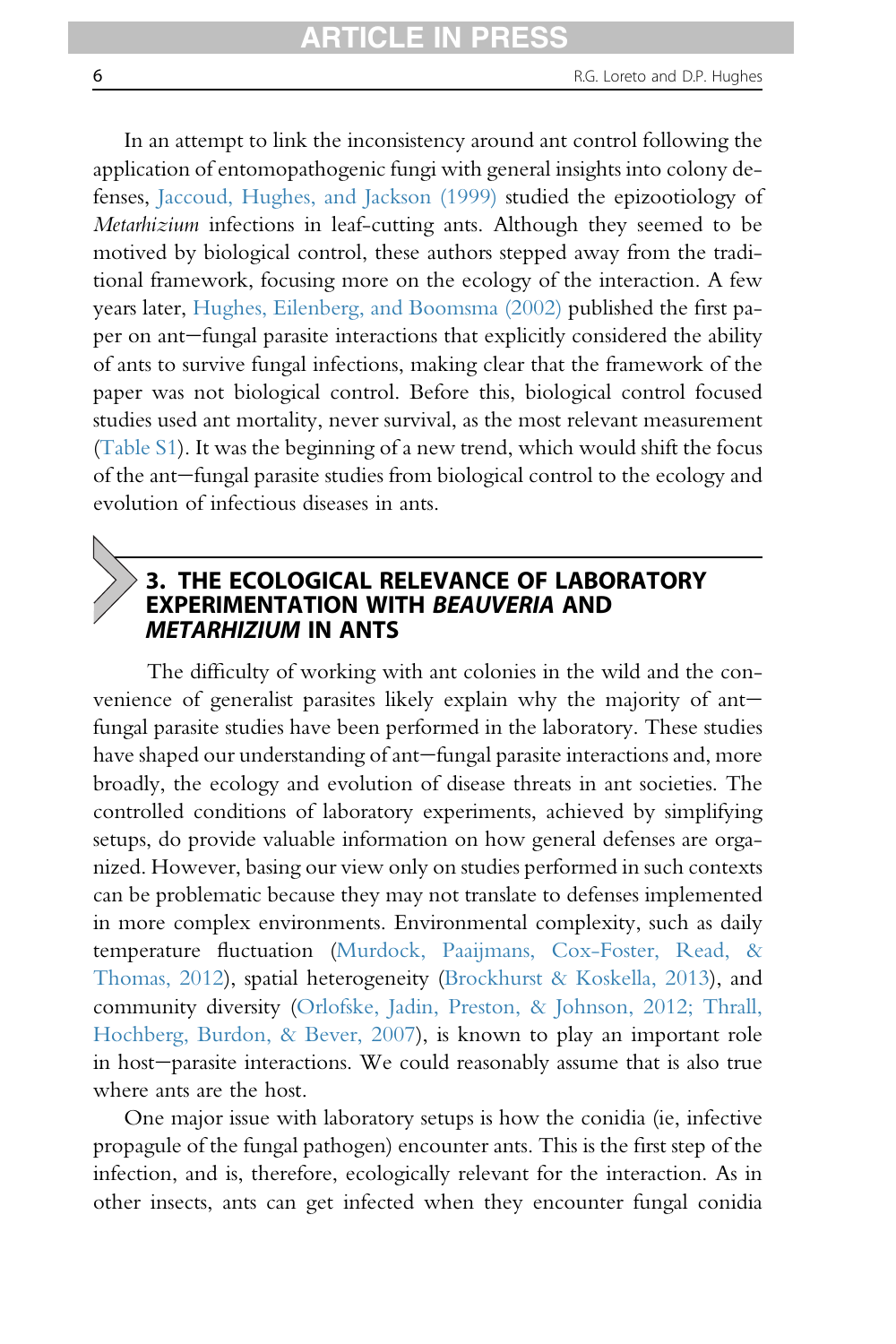In an attempt to link the inconsistency around ant control following the application of entomopathogenic fungi with general insights into colony defenses, Jaccoud, Hughes, and Jackson (1999) studied the epizootiology of Metarhizium infections in leaf-cutting ants. Although they seemed to be motived by biological control, these authors stepped away from the traditional framework, focusing more on the ecology of the interaction. A few years later, Hughes, Eilenberg, and Boomsma (2002) published the first paper on ant-fungal parasite interactions that explicitly considered the ability of ants to survive fungal infections, making clear that the framework of the paper was not biological control. Before this, biological control focused studies used ant mortality, never survival, as the most relevant measurement (Table S1). It was the beginning of a new trend, which would shift the focus of the ant-fungal parasite studies from biological control to the ecology and evolution of infectious diseases in ants.

#### 3. THE ECOLOGICAL RELEVANCE OF LABORATORY EXPERIMENTATION WITH BEAUVERIA AND METARHIZIUM IN ANTS

The difficulty of working with ant colonies in the wild and the convenience of generalist parasites likely explain why the majority of ant $$ fungal parasite studies have been performed in the laboratory. These studies have shaped our understanding of ant-fungal parasite interactions and, more broadly, the ecology and evolution of disease threats in ant societies. The controlled conditions of laboratory experiments, achieved by simplifying setups, do provide valuable information on how general defenses are organized. However, basing our view only on studies performed in such contexts can be problematic because they may not translate to defenses implemented in more complex environments. Environmental complexity, such as daily temperature fluctuation (Murdock, Paaijmans, Cox-Foster, Read, & Thomas, 2012), spatial heterogeneity (Brockhurst & Koskella, 2013), and community diversity (Orlofske, Jadin, Preston, & Johnson, 2012; Thrall, Hochberg, Burdon, & Bever, 2007), is known to play an important role in host-parasite interactions. We could reasonably assume that is also true where ants are the host.

One major issue with laboratory setups is how the conidia (ie, infective propagule of the fungal pathogen) encounter ants. This is the first step of the infection, and is, therefore, ecologically relevant for the interaction. As in other insects, ants can get infected when they encounter fungal conidia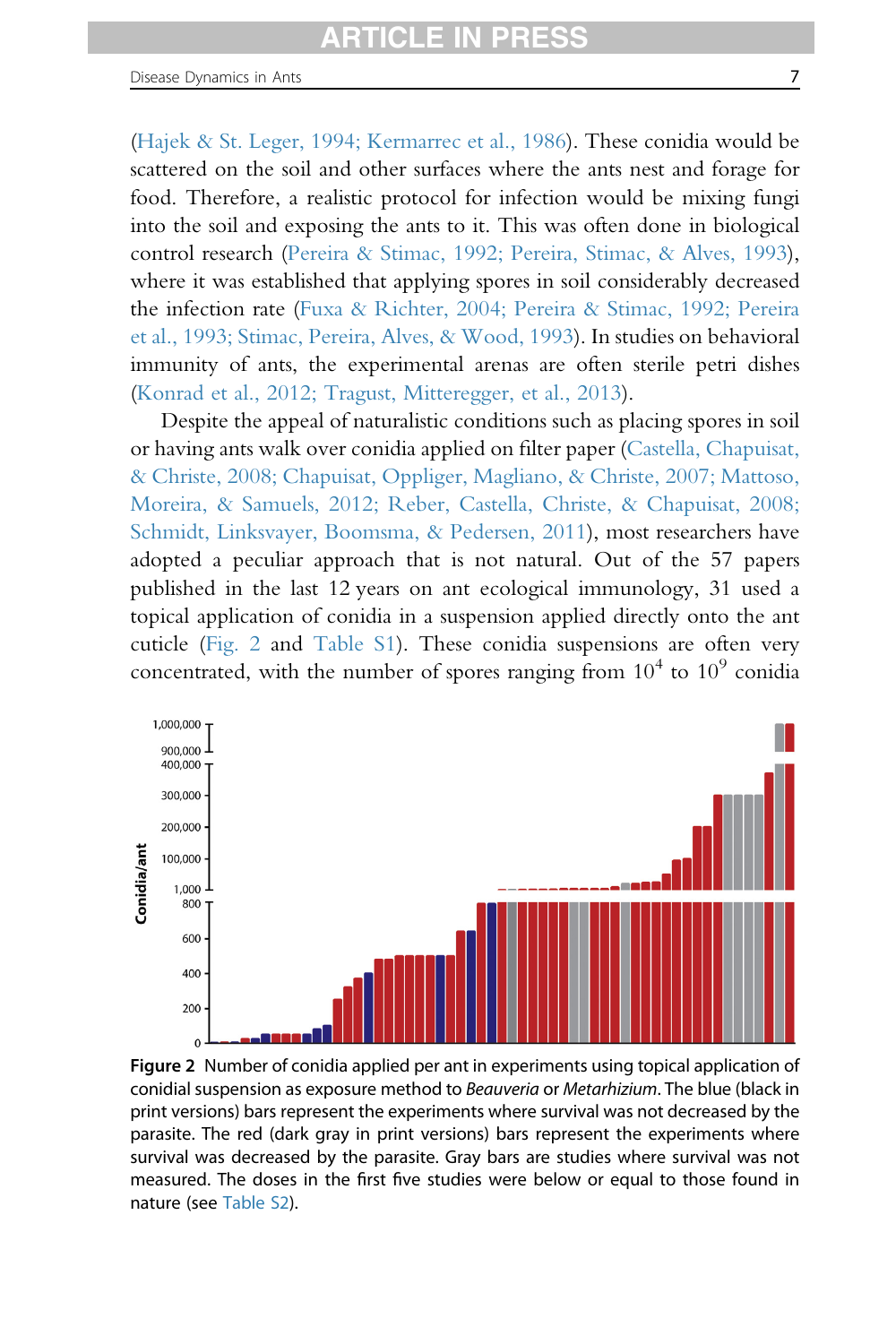(Hajek & St. Leger, 1994; Kermarrec et al., 1986). These conidia would be scattered on the soil and other surfaces where the ants nest and forage for food. Therefore, a realistic protocol for infection would be mixing fungi into the soil and exposing the ants to it. This was often done in biological control research (Pereira & Stimac, 1992; Pereira, Stimac, & Alves, 1993), where it was established that applying spores in soil considerably decreased the infection rate (Fuxa & Richter, 2004; Pereira & Stimac, 1992; Pereira et al., 1993; Stimac, Pereira, Alves, & Wood, 1993). In studies on behavioral immunity of ants, the experimental arenas are often sterile petri dishes (Konrad et al., 2012; Tragust, Mitteregger, et al., 2013).

Despite the appeal of naturalistic conditions such as placing spores in soil or having ants walk over conidia applied on filter paper (Castella, Chapuisat, & Christe, 2008; Chapuisat, Oppliger, Magliano, & Christe, 2007; Mattoso, Moreira, & Samuels, 2012; Reber, Castella, Christe, & Chapuisat, 2008; Schmidt, Linksvayer, Boomsma, & Pedersen, 2011), most researchers have adopted a peculiar approach that is not natural. Out of the 57 papers published in the last 12 years on ant ecological immunology, 31 used a topical application of conidia in a suspension applied directly onto the ant cuticle (Fig. 2 and Table S1). These conidia suspensions are often very concentrated, with the number of spores ranging from  $10^4$  to  $10^9$  conidia



Figure 2 Number of conidia applied per ant in experiments using topical application of conidial suspension as exposure method to Beauveria or Metarhizium. The blue (black in print versions) bars represent the experiments where survival was not decreased by the parasite. The red (dark gray in print versions) bars represent the experiments where survival was decreased by the parasite. Gray bars are studies where survival was not measured. The doses in the first five studies were below or equal to those found in nature (see Table S2).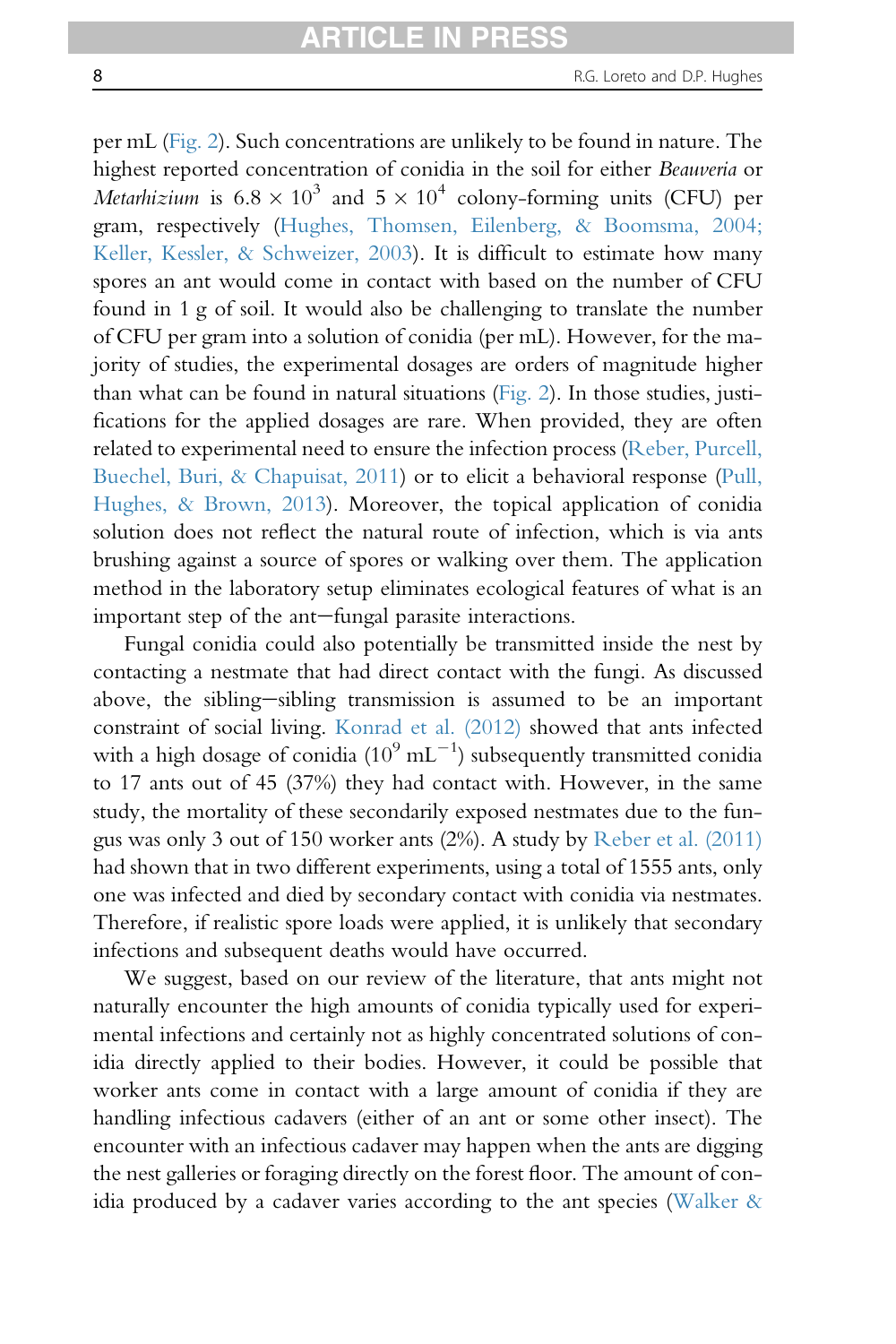per mL (Fig. 2). Such concentrations are unlikely to be found in nature. The highest reported concentration of conidia in the soil for either Beauveria or *Metarhizium* is  $6.8 \times 10^3$  and  $5 \times 10^4$  colony-forming units (CFU) per gram, respectively (Hughes, Thomsen, Eilenberg, & Boomsma, 2004; Keller, Kessler, & Schweizer, 2003). It is difficult to estimate how many spores an ant would come in contact with based on the number of CFU found in 1 g of soil. It would also be challenging to translate the number of CFU per gram into a solution of conidia (per mL). However, for the majority of studies, the experimental dosages are orders of magnitude higher than what can be found in natural situations (Fig. 2). In those studies, justifications for the applied dosages are rare. When provided, they are often related to experimental need to ensure the infection process (Reber, Purcell, Buechel, Buri, & Chapuisat, 2011) or to elicit a behavioral response (Pull, Hughes, & Brown, 2013). Moreover, the topical application of conidia solution does not reflect the natural route of infection, which is via ants brushing against a source of spores or walking over them. The application method in the laboratory setup eliminates ecological features of what is an important step of the ant-fungal parasite interactions.

Fungal conidia could also potentially be transmitted inside the nest by contacting a nestmate that had direct contact with the fungi. As discussed above, the sibling-sibling transmission is assumed to be an important constraint of social living. Konrad et al. (2012) showed that ants infected with a high dosage of conidia (10 $^9$  mL $^{-1})$  subsequently transmitted conidia to 17 ants out of 45 (37%) they had contact with. However, in the same study, the mortality of these secondarily exposed nestmates due to the fungus was only 3 out of 150 worker ants (2%). A study by Reber et al. (2011) had shown that in two different experiments, using a total of 1555 ants, only one was infected and died by secondary contact with conidia via nestmates. Therefore, if realistic spore loads were applied, it is unlikely that secondary infections and subsequent deaths would have occurred.

We suggest, based on our review of the literature, that ants might not naturally encounter the high amounts of conidia typically used for experimental infections and certainly not as highly concentrated solutions of conidia directly applied to their bodies. However, it could be possible that worker ants come in contact with a large amount of conidia if they are handling infectious cadavers (either of an ant or some other insect). The encounter with an infectious cadaver may happen when the ants are digging the nest galleries or foraging directly on the forest floor. The amount of conidia produced by a cadaver varies according to the ant species (Walker  $\&$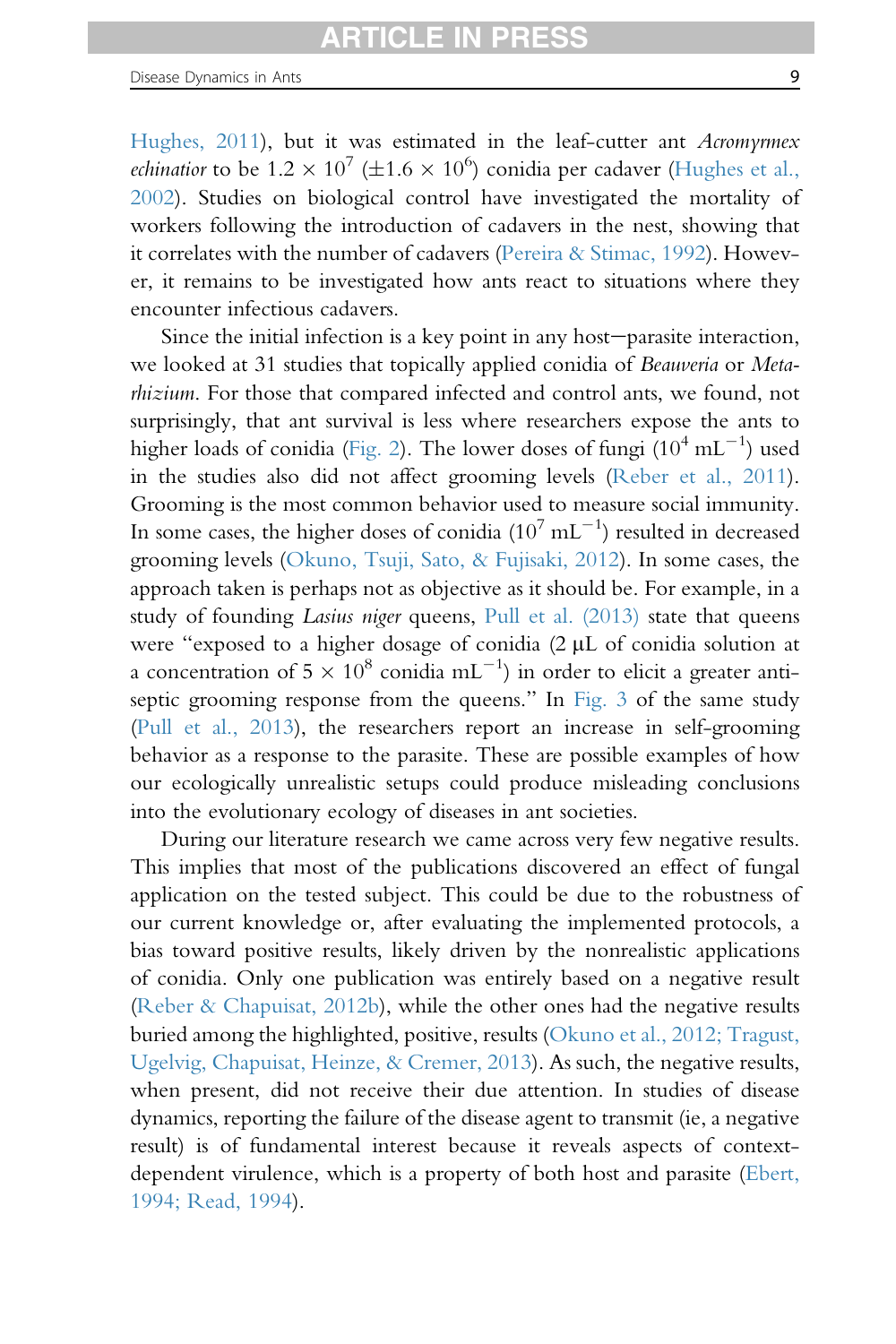Hughes, 2011), but it was estimated in the leaf-cutter ant Acromyrmex *echinatior* to be  $1.2 \times 10^7$  ( $\pm 1.6 \times 10^6$ ) conidia per cadaver (Hughes et al., 2002). Studies on biological control have investigated the mortality of workers following the introduction of cadavers in the nest, showing that it correlates with the number of cadavers (Pereira & Stimac, 1992). However, it remains to be investigated how ants react to situations where they encounter infectious cadavers.

Since the initial infection is a key point in any host-parasite interaction, we looked at 31 studies that topically applied conidia of Beauveria or Metarhizium. For those that compared infected and control ants, we found, not surprisingly, that ant survival is less where researchers expose the ants to higher loads of conidia (Fig. 2). The lower doses of fungi  $(10^4 \text{ mL}^{-1})$  used in the studies also did not affect grooming levels (Reber et al., 2011). Grooming is the most common behavior used to measure social immunity. In some cases, the higher doses of conidia ( $10^7$  mL<sup>-1</sup>) resulted in decreased grooming levels (Okuno, Tsuji, Sato, & Fujisaki, 2012). In some cases, the approach taken is perhaps not as objective as it should be. For example, in a study of founding *Lasius niger* queens, Pull et al. (2013) state that queens were "exposed to a higher dosage of conidia (2 µL of conidia solution at a concentration of  $5 \times 10^8$  conidia mL<sup>-1</sup>) in order to elicit a greater antiseptic grooming response from the queens." In Fig. 3 of the same study (Pull et al., 2013), the researchers report an increase in self-grooming behavior as a response to the parasite. These are possible examples of how our ecologically unrealistic setups could produce misleading conclusions into the evolutionary ecology of diseases in ant societies.

During our literature research we came across very few negative results. This implies that most of the publications discovered an effect of fungal application on the tested subject. This could be due to the robustness of our current knowledge or, after evaluating the implemented protocols, a bias toward positive results, likely driven by the nonrealistic applications of conidia. Only one publication was entirely based on a negative result (Reber & Chapuisat, 2012b), while the other ones had the negative results buried among the highlighted, positive, results (Okuno et al., 2012; Tragust, Ugelvig, Chapuisat, Heinze, & Cremer, 2013). As such, the negative results, when present, did not receive their due attention. In studies of disease dynamics, reporting the failure of the disease agent to transmit (ie, a negative result) is of fundamental interest because it reveals aspects of contextdependent virulence, which is a property of both host and parasite (Ebert, 1994; Read, 1994).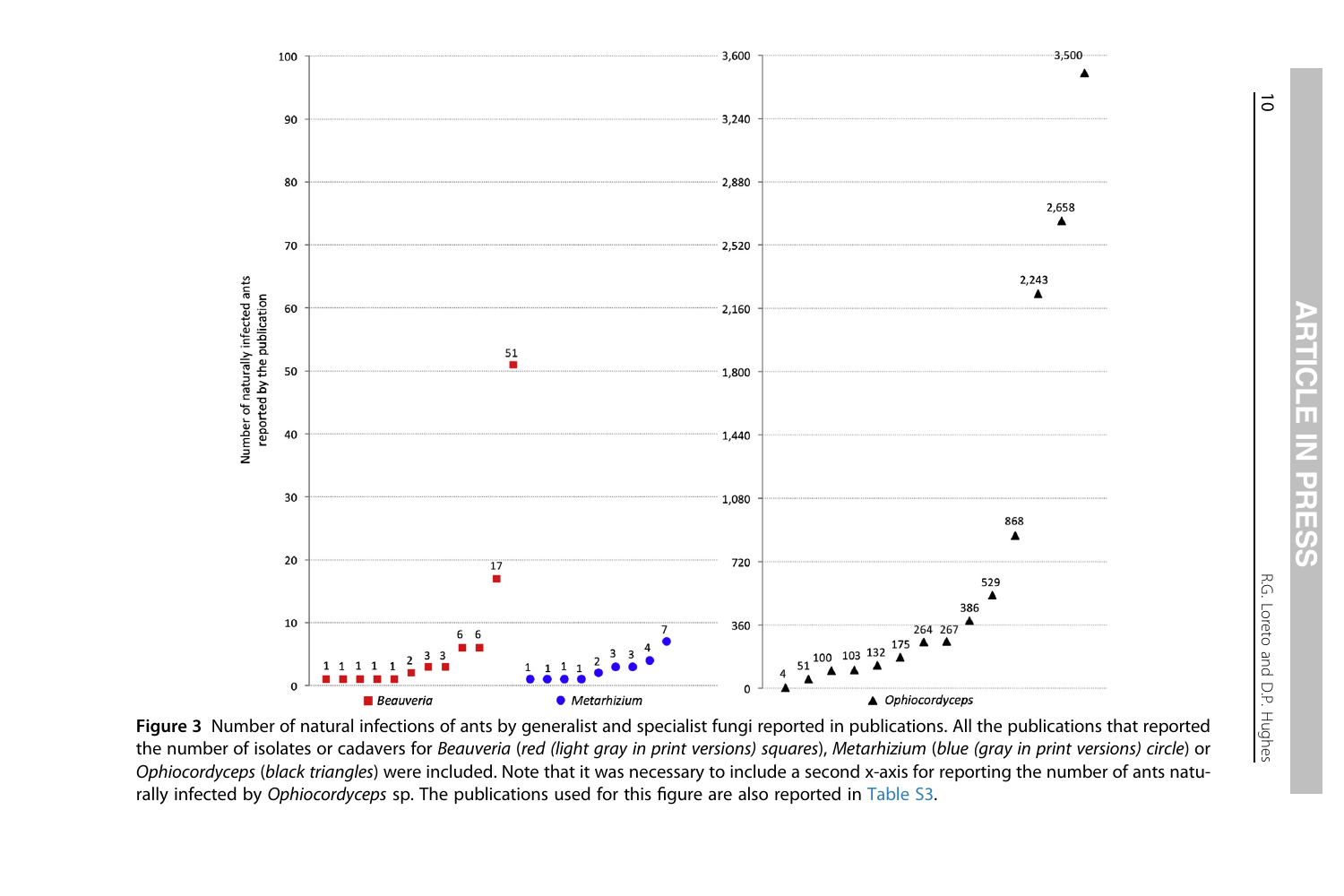

Figure 3 Number of natural infections of ants by generalist and specialist fungi reported in publications. All the publications that reported the number of isolates or cadavers for Beauveria (red (light gray in print versions) squares), Metarhizium (blue (gray in print versions) circle) or Ophiocordyceps (black triangles) were included. Note that it was necessary to include a second x-axis for reporting the number of ants naturally infected by Ophiocordyceps sp. The publications used for this figure are also reported in Table S3.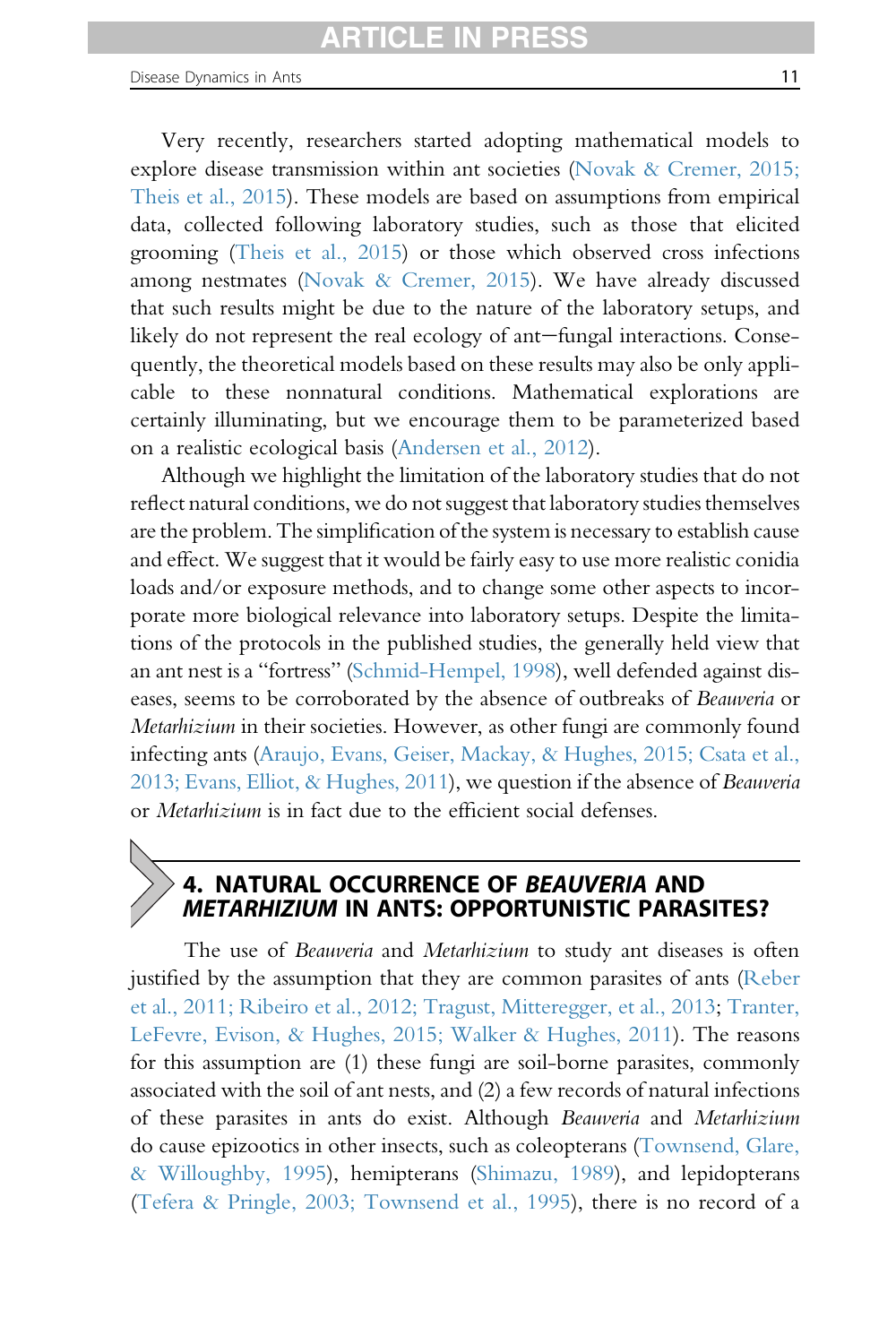Very recently, researchers started adopting mathematical models to explore disease transmission within ant societies (Novak & Cremer, 2015; Theis et al., 2015). These models are based on assumptions from empirical data, collected following laboratory studies, such as those that elicited grooming (Theis et al., 2015) or those which observed cross infections among nestmates (Novak & Cremer, 2015). We have already discussed that such results might be due to the nature of the laboratory setups, and likely do not represent the real ecology of ant-fungal interactions. Consequently, the theoretical models based on these results may also be only applicable to these nonnatural conditions. Mathematical explorations are certainly illuminating, but we encourage them to be parameterized based on a realistic ecological basis (Andersen et al., 2012).

Although we highlight the limitation of the laboratory studies that do not reflect natural conditions, we do not suggest that laboratory studies themselves are the problem. The simplification of the system is necessary to establish cause and effect. We suggest that it would be fairly easy to use more realistic conidia loads and/or exposure methods, and to change some other aspects to incorporate more biological relevance into laboratory setups. Despite the limitations of the protocols in the published studies, the generally held view that an ant nest is a "fortress" (Schmid-Hempel, 1998), well defended against diseases, seems to be corroborated by the absence of outbreaks of Beauveria or Metarhizium in their societies. However, as other fungi are commonly found infecting ants (Araujo, Evans, Geiser, Mackay, & Hughes, 2015; Csata et al., 2013; Evans, Elliot, & Hughes, 2011), we question if the absence of Beauveria or Metarhizium is in fact due to the efficient social defenses.

## 4. NATURAL OCCURRENCE OF BEAUVERIA AND METARHIZIUM IN ANTS: OPPORTUNISTIC PARASITES?

The use of *Beauveria* and *Metarhizium* to study ant diseases is often justified by the assumption that they are common parasites of ants (Reber et al., 2011; Ribeiro et al., 2012; Tragust, Mitteregger, et al., 2013; Tranter, LeFevre, Evison, & Hughes, 2015; Walker & Hughes, 2011). The reasons for this assumption are (1) these fungi are soil-borne parasites, commonly associated with the soil of ant nests, and (2) a few records of natural infections of these parasites in ants do exist. Although Beauveria and Metarhizium do cause epizootics in other insects, such as coleopterans (Townsend, Glare, & Willoughby, 1995), hemipterans (Shimazu, 1989), and lepidopterans (Tefera & Pringle, 2003; Townsend et al., 1995), there is no record of a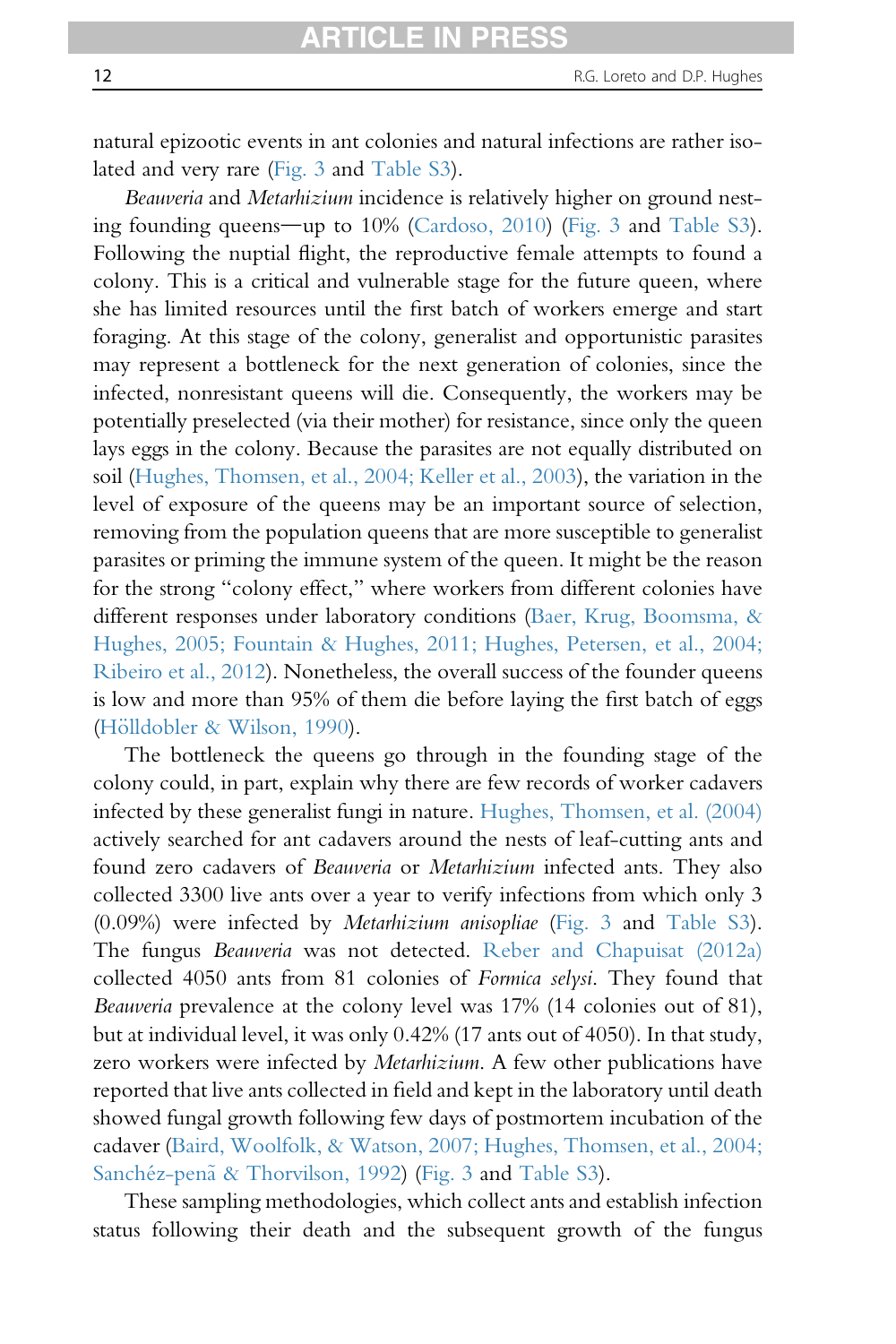natural epizootic events in ant colonies and natural infections are rather isolated and very rare (Fig. 3 and Table S3).

Beauveria and Metarhizium incidence is relatively higher on ground nesting founding queens—up to  $10\%$  (Cardoso,  $2010$ ) (Fig. 3 and Table S3). Following the nuptial flight, the reproductive female attempts to found a colony. This is a critical and vulnerable stage for the future queen, where she has limited resources until the first batch of workers emerge and start foraging. At this stage of the colony, generalist and opportunistic parasites may represent a bottleneck for the next generation of colonies, since the infected, nonresistant queens will die. Consequently, the workers may be potentially preselected (via their mother) for resistance, since only the queen lays eggs in the colony. Because the parasites are not equally distributed on soil (Hughes, Thomsen, et al., 2004; Keller et al., 2003), the variation in the level of exposure of the queens may be an important source of selection, removing from the population queens that are more susceptible to generalist parasites or priming the immune system of the queen. It might be the reason for the strong "colony effect," where workers from different colonies have different responses under laboratory conditions (Baer, Krug, Boomsma, & Hughes, 2005; Fountain & Hughes, 2011; Hughes, Petersen, et al., 2004; Ribeiro et al., 2012). Nonetheless, the overall success of the founder queens is low and more than 95% of them die before laying the first batch of eggs (Hölldobler & Wilson, 1990).

The bottleneck the queens go through in the founding stage of the colony could, in part, explain why there are few records of worker cadavers infected by these generalist fungi in nature. Hughes, Thomsen, et al. (2004) actively searched for ant cadavers around the nests of leaf-cutting ants and found zero cadavers of Beauveria or Metarhizium infected ants. They also collected 3300 live ants over a year to verify infections from which only 3 (0.09%) were infected by Metarhizium anisopliae (Fig. 3 and Table S3). The fungus Beauveria was not detected. Reber and Chapuisat (2012a) collected 4050 ants from 81 colonies of Formica selysi. They found that Beauveria prevalence at the colony level was 17% (14 colonies out of 81), but at individual level, it was only 0.42% (17 ants out of 4050). In that study, zero workers were infected by Metarhizium. A few other publications have reported that live ants collected in field and kept in the laboratory until death showed fungal growth following few days of postmortem incubation of the cadaver (Baird, Woolfolk, & Watson, 2007; Hughes, Thomsen, et al., 2004; Sanchéz-penã & Thorvilson, 1992) (Fig. 3 and Table S3).

These sampling methodologies, which collect ants and establish infection status following their death and the subsequent growth of the fungus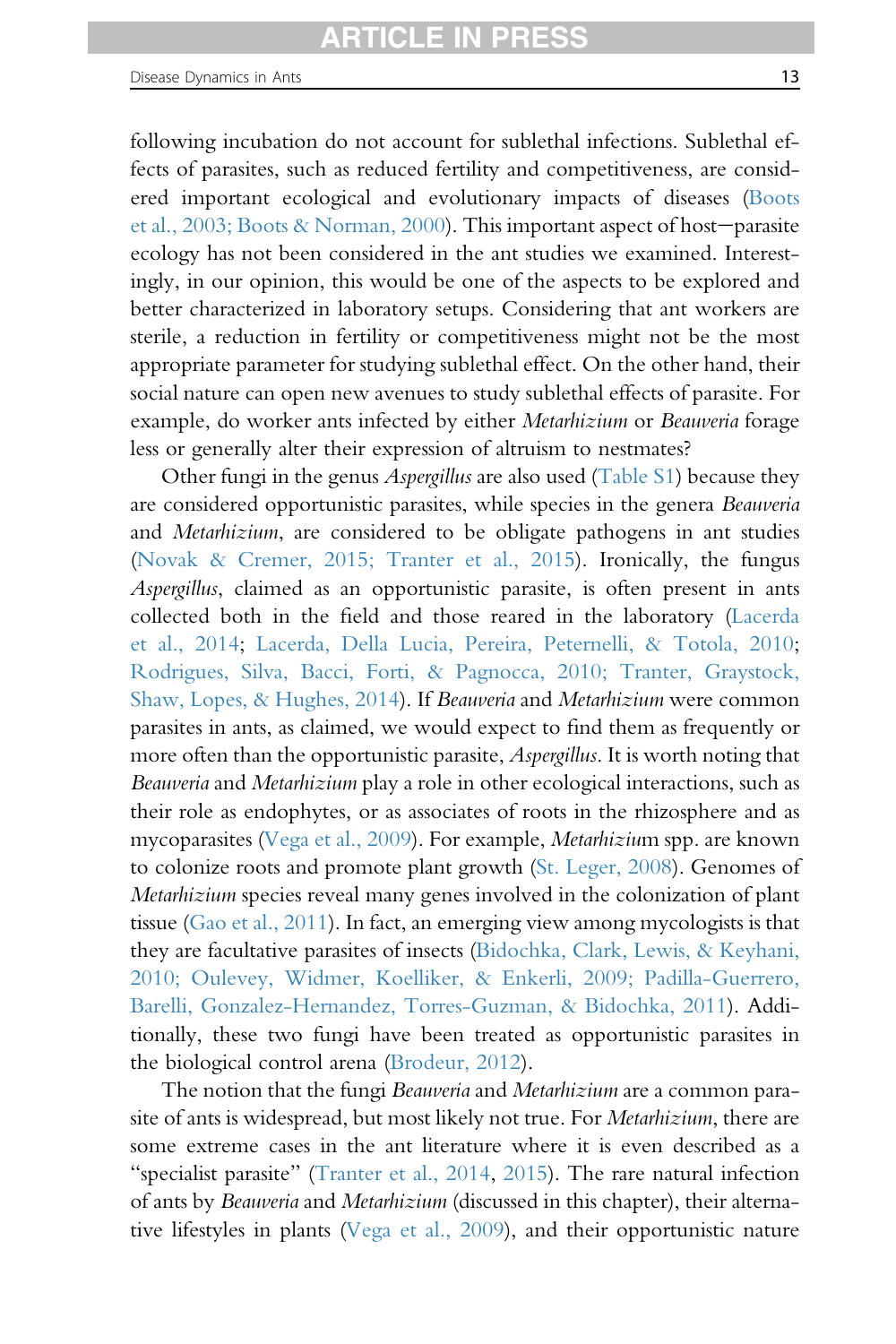following incubation do not account for sublethal infections. Sublethal effects of parasites, such as reduced fertility and competitiveness, are considered important ecological and evolutionary impacts of diseases (Boots et al.,  $2003$ ; Boots & Norman,  $2000$ ). This important aspect of host-parasite ecology has not been considered in the ant studies we examined. Interestingly, in our opinion, this would be one of the aspects to be explored and better characterized in laboratory setups. Considering that ant workers are sterile, a reduction in fertility or competitiveness might not be the most appropriate parameter for studying sublethal effect. On the other hand, their social nature can open new avenues to study sublethal effects of parasite. For example, do worker ants infected by either Metarhizium or Beauveria forage less or generally alter their expression of altruism to nestmates?

Other fungi in the genus Aspergillus are also used (Table S1) because they are considered opportunistic parasites, while species in the genera Beauveria and Metarhizium, are considered to be obligate pathogens in ant studies (Novak & Cremer, 2015; Tranter et al., 2015). Ironically, the fungus Aspergillus, claimed as an opportunistic parasite, is often present in ants collected both in the field and those reared in the laboratory (Lacerda et al., 2014; Lacerda, Della Lucia, Pereira, Peternelli, & Totola, 2010; Rodrigues, Silva, Bacci, Forti, & Pagnocca, 2010; Tranter, Graystock, Shaw, Lopes, & Hughes, 2014). If Beauveria and Metarhizium were common parasites in ants, as claimed, we would expect to find them as frequently or more often than the opportunistic parasite, Aspergillus. It is worth noting that Beauveria and Metarhizium play a role in other ecological interactions, such as their role as endophytes, or as associates of roots in the rhizosphere and as mycoparasites (Vega et al., 2009). For example, Metarhizium spp. are known to colonize roots and promote plant growth (St. Leger, 2008). Genomes of Metarhizium species reveal many genes involved in the colonization of plant tissue (Gao et al., 2011). In fact, an emerging view among mycologists is that they are facultative parasites of insects (Bidochka, Clark, Lewis, & Keyhani, 2010; Oulevey, Widmer, Koelliker, & Enkerli, 2009; Padilla-Guerrero, Barelli, Gonzalez-Hernandez, Torres-Guzman, & Bidochka, 2011). Additionally, these two fungi have been treated as opportunistic parasites in the biological control arena (Brodeur, 2012).

The notion that the fungi Beauveria and Metarhizium are a common parasite of ants is widespread, but most likely not true. For Metarhizium, there are some extreme cases in the ant literature where it is even described as a "specialist parasite" (Tranter et al., 2014, 2015). The rare natural infection of ants by Beauveria and Metarhizium (discussed in this chapter), their alternative lifestyles in plants (Vega et al., 2009), and their opportunistic nature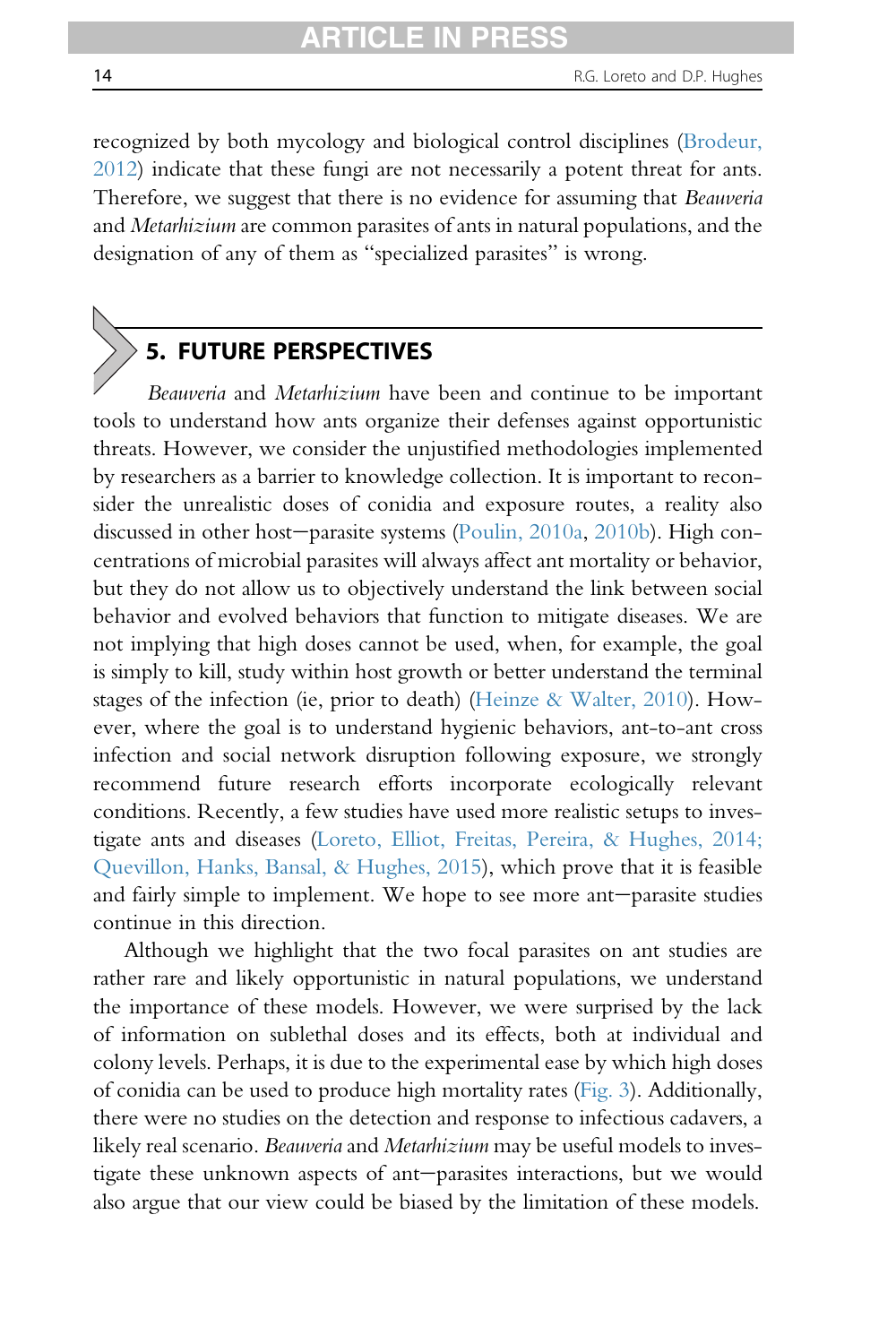recognized by both mycology and biological control disciplines (Brodeur, 2012) indicate that these fungi are not necessarily a potent threat for ants. Therefore, we suggest that there is no evidence for assuming that Beauveria and Metarhizium are common parasites of ants in natural populations, and the designation of any of them as "specialized parasites" is wrong.

# 5. FUTURE PERSPECTIVES

Beauveria and Metarhizium have been and continue to be important tools to understand how ants organize their defenses against opportunistic threats. However, we consider the unjustified methodologies implemented by researchers as a barrier to knowledge collection. It is important to reconsider the unrealistic doses of conidia and exposure routes, a reality also discussed in other host-parasite systems (Poulin, 2010a, 2010b). High concentrations of microbial parasites will always affect ant mortality or behavior, but they do not allow us to objectively understand the link between social behavior and evolved behaviors that function to mitigate diseases. We are not implying that high doses cannot be used, when, for example, the goal is simply to kill, study within host growth or better understand the terminal stages of the infection (ie, prior to death) (Heinze & Walter, 2010). However, where the goal is to understand hygienic behaviors, ant-to-ant cross infection and social network disruption following exposure, we strongly recommend future research efforts incorporate ecologically relevant conditions. Recently, a few studies have used more realistic setups to investigate ants and diseases (Loreto, Elliot, Freitas, Pereira, & Hughes, 2014; Quevillon, Hanks, Bansal, & Hughes, 2015), which prove that it is feasible and fairly simple to implement. We hope to see more ant-parasite studies continue in this direction.

Although we highlight that the two focal parasites on ant studies are rather rare and likely opportunistic in natural populations, we understand the importance of these models. However, we were surprised by the lack of information on sublethal doses and its effects, both at individual and colony levels. Perhaps, it is due to the experimental ease by which high doses of conidia can be used to produce high mortality rates (Fig. 3). Additionally, there were no studies on the detection and response to infectious cadavers, a likely real scenario. Beauveria and Metarhizium may be useful models to investigate these unknown aspects of ant-parasites interactions, but we would also argue that our view could be biased by the limitation of these models.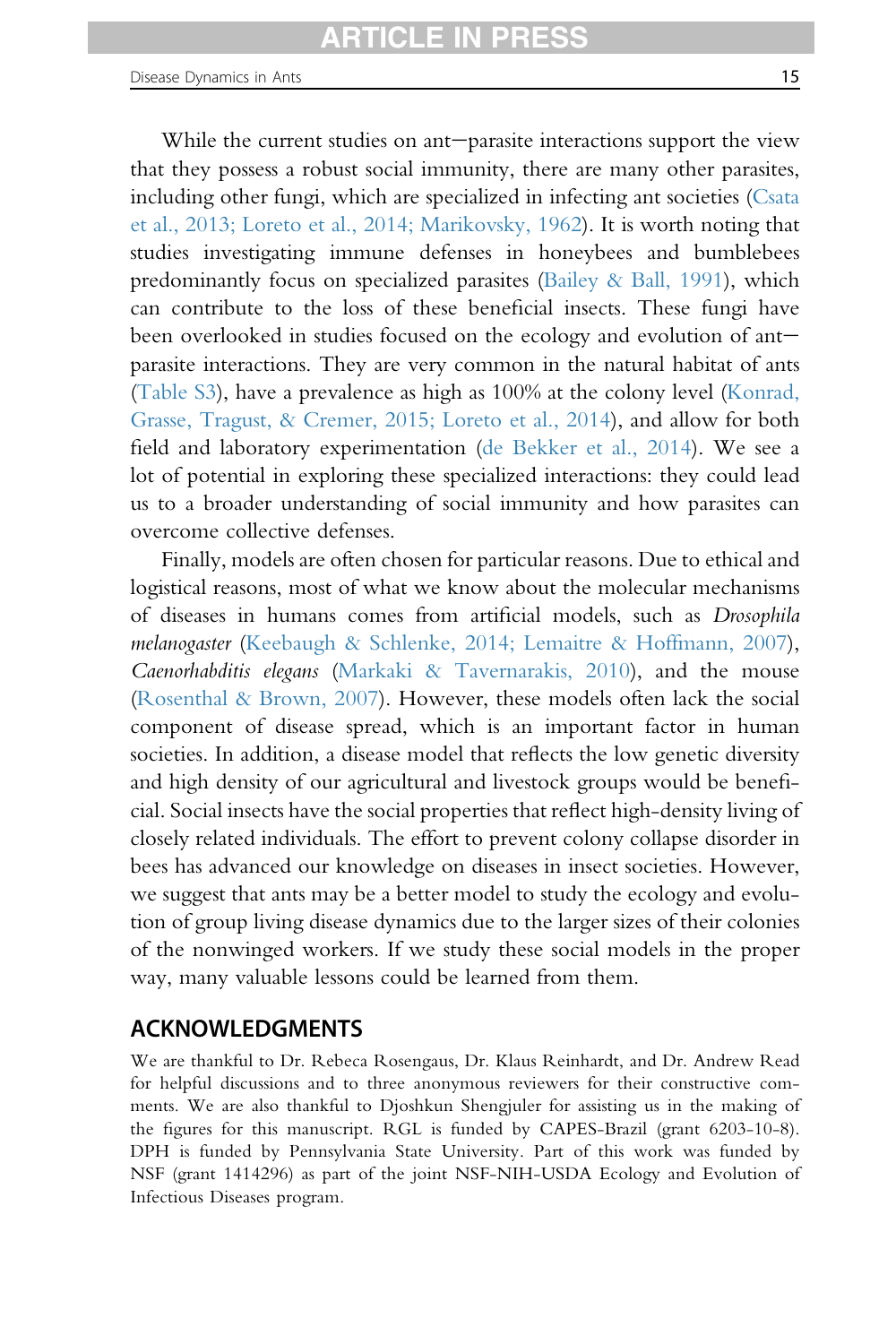While the current studies on ant-parasite interactions support the view that they possess a robust social immunity, there are many other parasites, including other fungi, which are specialized in infecting ant societies (Csata et al., 2013; Loreto et al., 2014; Marikovsky, 1962). It is worth noting that studies investigating immune defenses in honeybees and bumblebees predominantly focus on specialized parasites (Bailey & Ball, 1991), which can contribute to the loss of these beneficial insects. These fungi have been overlooked in studies focused on the ecology and evolution of ant $$ parasite interactions. They are very common in the natural habitat of ants (Table S3), have a prevalence as high as 100% at the colony level (Konrad, Grasse, Tragust, & Cremer, 2015; Loreto et al., 2014), and allow for both field and laboratory experimentation (de Bekker et al., 2014). We see a lot of potential in exploring these specialized interactions: they could lead us to a broader understanding of social immunity and how parasites can overcome collective defenses.

Finally, models are often chosen for particular reasons. Due to ethical and logistical reasons, most of what we know about the molecular mechanisms of diseases in humans comes from artificial models, such as Drosophila melanogaster (Keebaugh & Schlenke, 2014; Lemaitre & Hoffmann, 2007), Caenorhabditis elegans (Markaki & Tavernarakis, 2010), and the mouse (Rosenthal & Brown, 2007). However, these models often lack the social component of disease spread, which is an important factor in human societies. In addition, a disease model that reflects the low genetic diversity and high density of our agricultural and livestock groups would be beneficial. Social insects have the social properties that reflect high-density living of closely related individuals. The effort to prevent colony collapse disorder in bees has advanced our knowledge on diseases in insect societies. However, we suggest that ants may be a better model to study the ecology and evolution of group living disease dynamics due to the larger sizes of their colonies of the nonwinged workers. If we study these social models in the proper way, many valuable lessons could be learned from them.

#### ACKNOWLEDGMENTS

We are thankful to Dr. Rebeca Rosengaus, Dr. Klaus Reinhardt, and Dr. Andrew Read for helpful discussions and to three anonymous reviewers for their constructive comments. We are also thankful to Djoshkun Shengjuler for assisting us in the making of the figures for this manuscript. RGL is funded by CAPES-Brazil (grant 6203-10-8). DPH is funded by Pennsylvania State University. Part of this work was funded by NSF (grant 1414296) as part of the joint NSF-NIH-USDA Ecology and Evolution of Infectious Diseases program.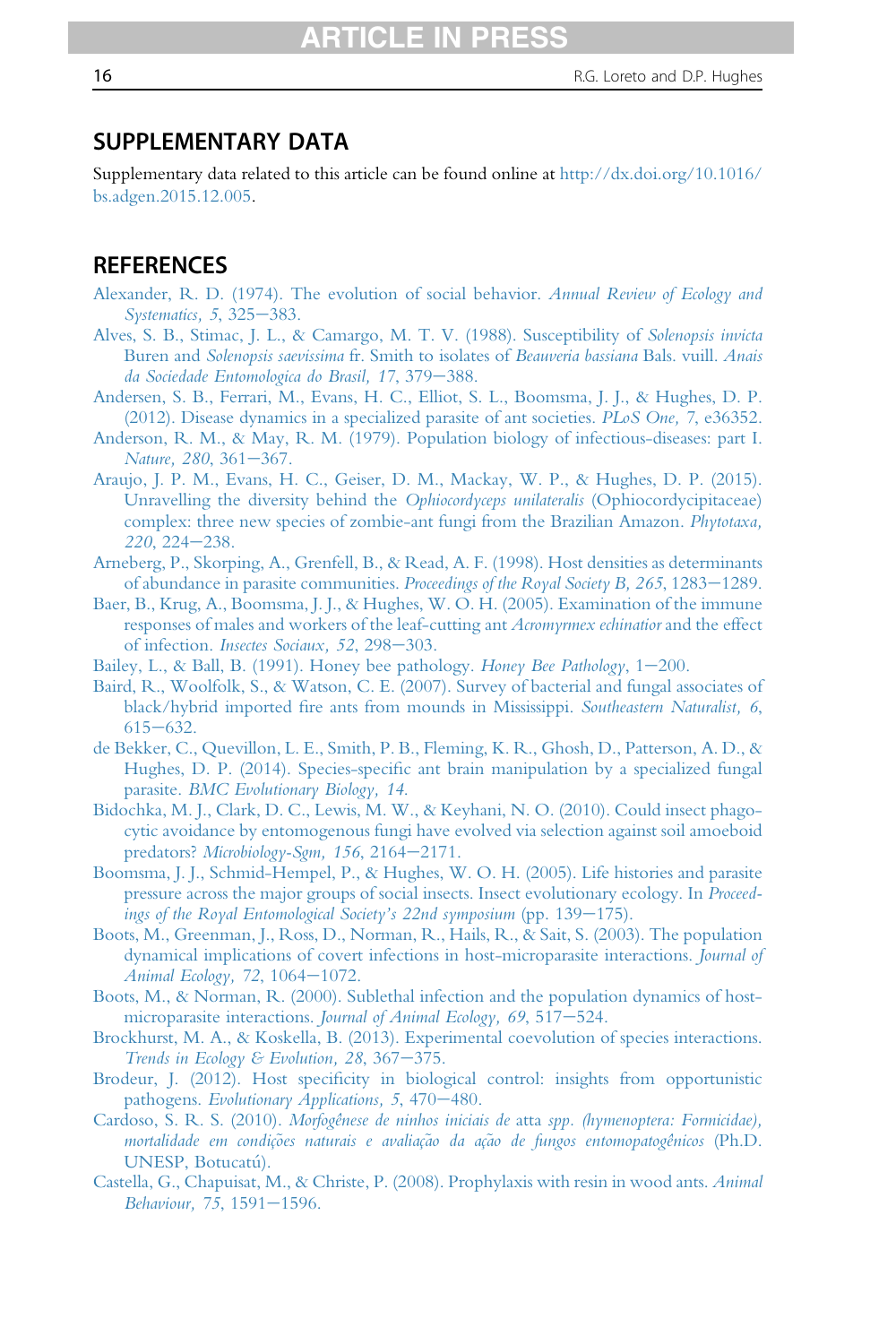#### SUPPLEMENTARY DATA

Supplementary data related to this article can be found online at http://dx.doi.org/10.1016/ bs.adgen.2015.12.005.

#### **REFERENCES**

- Alexander, R. D. (1974). The evolution of social behavior. Annual Review of Ecology and Systematics, 5, 325-383.
- Alves, S. B., Stimac, J. L., & Camargo, M. T. V. (1988). Susceptibility of Solenopsis invicta Buren and Solenopsis saevissima fr. Smith to isolates of Beauveria bassiana Bals. vuill. Anais da Sociedade Entomologica do Brasil, 17, 379-388.
- Andersen, S. B., Ferrari, M., Evans, H. C., Elliot, S. L., Boomsma, J. J., & Hughes, D. P. (2012). Disease dynamics in a specialized parasite of ant societies. PLoS One, 7, e36352.
- Anderson, R. M., & May, R. M. (1979). Population biology of infectious-diseases: part I. Nature, 280, 361-367.
- Araujo, J. P. M., Evans, H. C., Geiser, D. M., Mackay, W. P., & Hughes, D. P. (2015). Unravelling the diversity behind the Ophiocordyceps unilateralis (Ophiocordycipitaceae) complex: three new species of zombie-ant fungi from the Brazilian Amazon. Phytotaxa,  $220, 224 - 238.$
- Arneberg, P., Skorping, A., Grenfell, B., & Read, A. F. (1998). Host densities as determinants of abundance in parasite communities. Proceedings of the Royal Society B, 265, 1283–1289.
- Baer, B., Krug, A., Boomsma, J. J., & Hughes, W. O. H. (2005). Examination of the immune responses of males and workers of the leaf-cutting ant Acromyrmex echinatior and the effect of infection. Insectes Sociaux, 52, 298-303.
- Bailey, L., & Ball, B. (1991). Honey bee pathology. Honey Bee Pathology,  $1-200$ .
- Baird, R., Woolfolk, S., & Watson, C. E. (2007). Survey of bacterial and fungal associates of black/hybrid imported fire ants from mounds in Mississippi. Southeastern Naturalist, 6,  $615 - 632.$
- de Bekker, C., Quevillon, L. E., Smith, P. B., Fleming, K. R., Ghosh, D., Patterson, A. D., & Hughes, D. P. (2014). Species-specific ant brain manipulation by a specialized fungal parasite. BMC Evolutionary Biology, 14.
- Bidochka, M. J., Clark, D. C., Lewis, M. W., & Keyhani, N. O. (2010). Could insect phagocytic avoidance by entomogenous fungi have evolved via selection against soil amoeboid predators? Microbiology-Sgm, 156, 2164-2171.
- Boomsma, J. J., Schmid-Hempel, P., & Hughes, W. O. H. (2005). Life histories and parasite pressure across the major groups of social insects. Insect evolutionary ecology. In Proceedings of the Royal Entomological Society's  $22n$ d symposium (pp. 139–175).
- Boots, M., Greenman, J., Ross, D., Norman, R., Hails, R., & Sait, S. (2003). The population dynamical implications of covert infections in host-microparasite interactions. Journal of Animal Ecology, 72, 1064-1072.
- Boots, M., & Norman, R. (2000). Sublethal infection and the population dynamics of hostmicroparasite interactions. Journal of Animal Ecology, 69, 517-524.
- Brockhurst, M. A., & Koskella, B. (2013). Experimental coevolution of species interactions. Trends in Ecology & Evolution, 28, 367 $-375$ .
- Brodeur, J. (2012). Host specificity in biological control: insights from opportunistic pathogens. Evolutionary Applications,  $5,470-480$ .
- Cardoso, S. R. S. (2010). Morfogênese de ninhos iniciais de atta spp. (hymenoptera: Formicidae), mortalidade em condições naturais e avaliação da ação de fungos entomopatogênicos (Ph.D. UNESP, Botucatú).
- Castella, G., Chapuisat, M., & Christe, P. (2008). Prophylaxis with resin in wood ants. Animal Behaviour, 75, 1591-1596.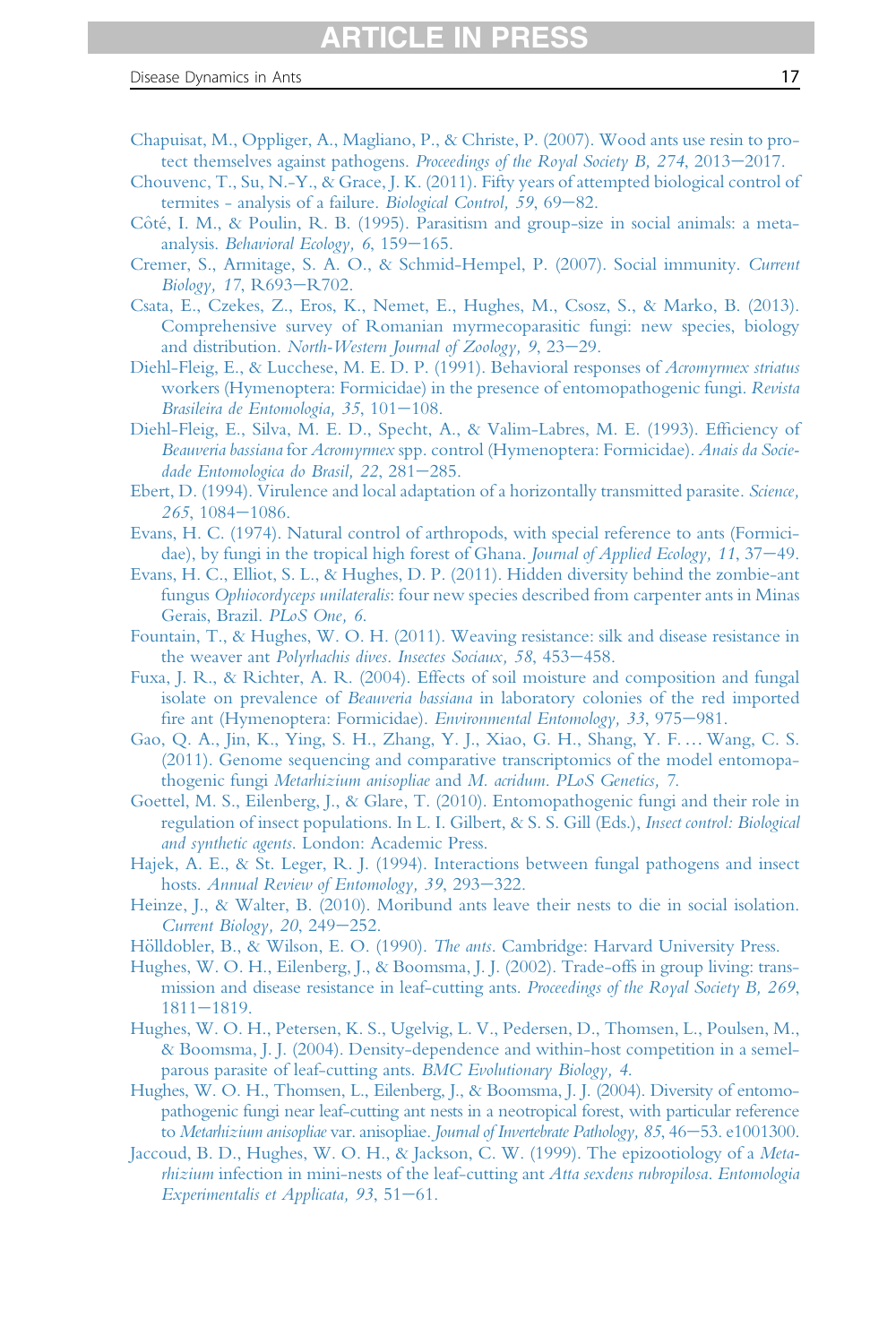- Chapuisat, M., Oppliger, A., Magliano, P., & Christe, P. (2007). Wood ants use resin to protect themselves against pathogens. Proceedings of the Royal Society B,  $274$ ,  $2013-2017$ .
- Chouvenc, T., Su, N.-Y., & Grace, J. K. (2011). Fifty years of attempted biological control of termites - analysis of a failure. Biological Control, 59, 69–82.
- Côté, I. M., & Poulin, R. B. (1995). Parasitism and group-size in social animals: a metaanalysis. Behavioral Ecology,  $6, 159-165$ .
- Cremer, S., Armitage, S. A. O., & Schmid-Hempel, P. (2007). Social immunity. Current Biology, 17, R693-R702.
- Csata, E., Czekes, Z., Eros, K., Nemet, E., Hughes, M., Csosz, S., & Marko, B. (2013). Comprehensive survey of Romanian myrmecoparasitic fungi: new species, biology and distribution. North-Western Journal of Zoology,  $9, 23-29$ .
- Diehl-Fleig, E., & Lucchese, M. E. D. P. (1991). Behavioral responses of Acromyrmex striatus workers (Hymenoptera: Formicidae) in the presence of entomopathogenic fungi. Revista Brasileira de Entomologia, 35,  $101-108$ .
- Diehl-Fleig, E., Silva, M. E. D., Specht, A., & Valim-Labres, M. E. (1993). Efficiency of Beauveria bassiana for Acromyrmex spp. control (Hymenoptera: Formicidae). Anais da Sociedade Entomologica do Brasil, 22, 281-285.
- Ebert, D. (1994). Virulence and local adaptation of a horizontally transmitted parasite. Science, 265, 1084-1086.
- Evans, H. C. (1974). Natural control of arthropods, with special reference to ants (Formicidae), by fungi in the tropical high forest of Ghana. Journal of Applied Ecology, 11, 37–49.
- Evans, H. C., Elliot, S. L., & Hughes, D. P. (2011). Hidden diversity behind the zombie-ant fungus Ophiocordyceps unilateralis: four new species described from carpenter ants in Minas Gerais, Brazil. PLoS One, 6.
- Fountain, T., & Hughes, W. O. H. (2011). Weaving resistance: silk and disease resistance in the weaver ant Polyrhachis dives. Insectes Sociaux, 58, 453-458.
- Fuxa, J. R., & Richter, A. R. (2004). Effects of soil moisture and composition and fungal isolate on prevalence of Beauveria bassiana in laboratory colonies of the red imported fire ant (Hymenoptera: Formicidae). Environmental Entomology, 33, 975-981.
- Gao, Q. A., Jin, K., Ying, S. H., Zhang, Y. J., Xiao, G. H., Shang, Y. F.… Wang, C. S. (2011). Genome sequencing and comparative transcriptomics of the model entomopathogenic fungi Metarhizium anisopliae and M. acridum. PLoS Genetics, 7.
- Goettel, M. S., Eilenberg, J., & Glare, T. (2010). Entomopathogenic fungi and their role in regulation of insect populations. In L. I. Gilbert, & S. S. Gill (Eds.), Insect control: Biological and synthetic agents. London: Academic Press.
- Hajek, A. E., & St. Leger, R. J. (1994). Interactions between fungal pathogens and insect hosts. Annual Review of Entomology, 39, 293-322.
- Heinze, J., & Walter, B. (2010). Moribund ants leave their nests to die in social isolation. Current Biology,  $20$ ,  $249-252$ .
- Hölldobler, B., & Wilson, E. O. (1990). The ants. Cambridge: Harvard University Press.
- Hughes, W. O. H., Eilenberg, J., & Boomsma, J. J. (2002). Trade-offs in group living: transmission and disease resistance in leaf-cutting ants. Proceedings of the Royal Society B, 269,  $1811 - 1819.$
- Hughes, W. O. H., Petersen, K. S., Ugelvig, L. V., Pedersen, D., Thomsen, L., Poulsen, M., & Boomsma, J. J. (2004). Density-dependence and within-host competition in a semelparous parasite of leaf-cutting ants. BMC Evolutionary Biology, 4.
- Hughes, W. O. H., Thomsen, L., Eilenberg, J., & Boomsma, J. J. (2004). Diversity of entomopathogenic fungi near leaf-cutting ant nests in a neotropical forest, with particular reference to Metarhizium anisopliae var. anisopliae. Journal of Invertebrate Pathology,  $85, 46 - 53$ . e1001300.
- Jaccoud, B. D., Hughes, W. O. H., & Jackson, C. W. (1999). The epizootiology of a Metarhizium infection in mini-nests of the leaf-cutting ant Atta sexdens rubropilosa. Entomologia Experimentalis et Applicata, 93,  $51-61$ .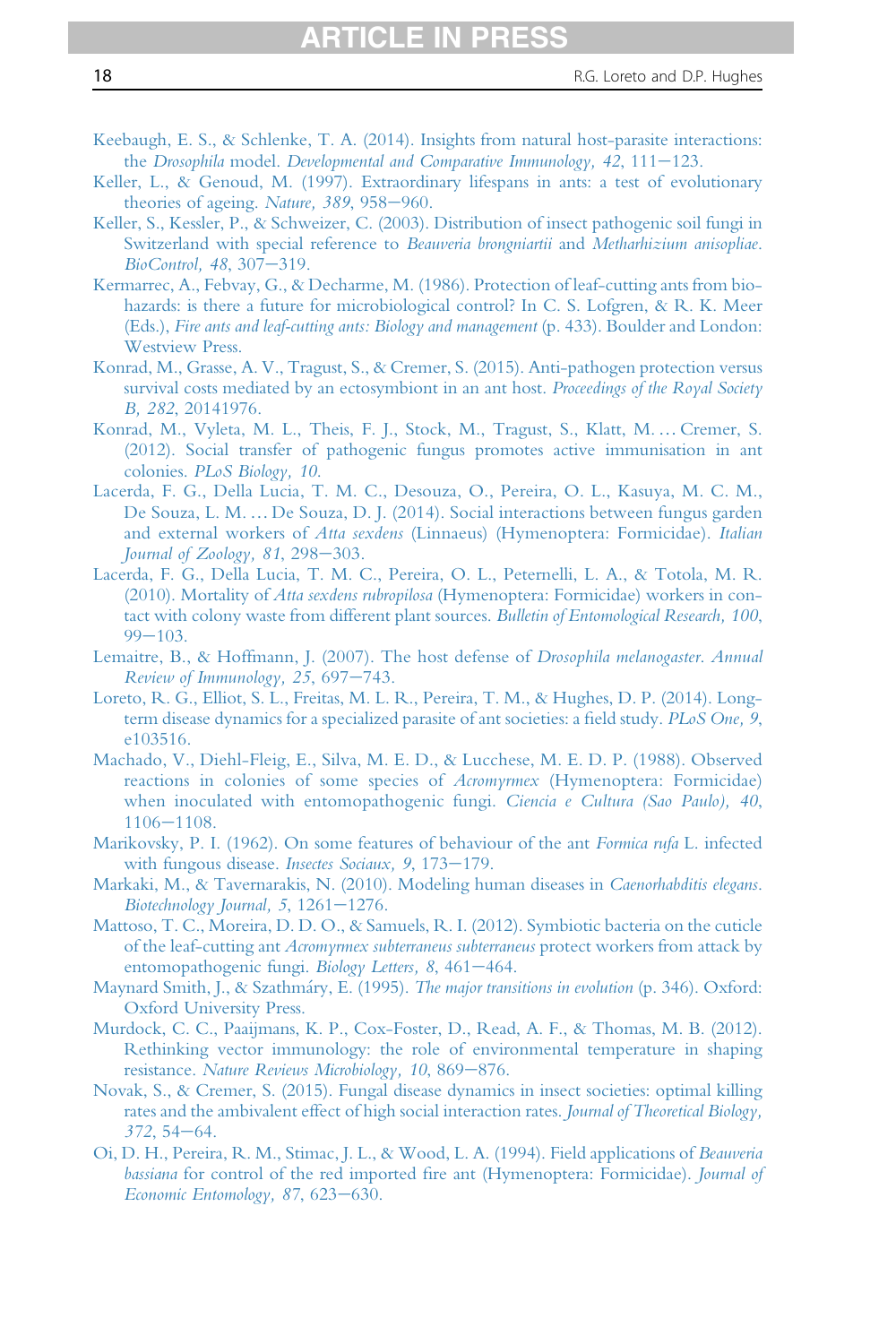- Keebaugh, E. S., & Schlenke, T. A. (2014). Insights from natural host-parasite interactions:
- the Drosophila model. Developmental and Comparative Immunology,  $42$ ,  $111-123$ .
- Keller, L., & Genoud, M. (1997). Extraordinary lifespans in ants: a test of evolutionary theories of ageing. Nature,  $389, 958 - 960$ .
- Keller, S., Kessler, P., & Schweizer, C. (2003). Distribution of insect pathogenic soil fungi in Switzerland with special reference to Beauveria brongniartii and Metharhizium anisopliae. BioControl, 48, 307-319.
- Kermarrec, A., Febvay, G., & Decharme, M. (1986). Protection of leaf-cutting ants from biohazards: is there a future for microbiological control? In C. S. Lofgren, & R. K. Meer (Eds.), Fire ants and leaf-cutting ants: Biology and management (p. 433). Boulder and London: Westview Press.
- Konrad, M., Grasse, A. V., Tragust, S., & Cremer, S. (2015). Anti-pathogen protection versus survival costs mediated by an ectosymbiont in an ant host. Proceedings of the Royal Society B, 282, 20141976.
- Konrad, M., Vyleta, M. L., Theis, F. J., Stock, M., Tragust, S., Klatt, M. …Cremer, S. (2012). Social transfer of pathogenic fungus promotes active immunisation in ant colonies. PLoS Biology, 10.
- Lacerda, F. G., Della Lucia, T. M. C., Desouza, O., Pereira, O. L., Kasuya, M. C. M., De Souza, L. M. … De Souza, D. J. (2014). Social interactions between fungus garden and external workers of Atta sexdens (Linnaeus) (Hymenoptera: Formicidae). Italian Journal of Zoology,  $81, 298-303$ .
- Lacerda, F. G., Della Lucia, T. M. C., Pereira, O. L., Peternelli, L. A., & Totola, M. R. (2010). Mortality of Atta sexdens rubropilosa (Hymenoptera: Formicidae) workers in contact with colony waste from different plant sources. Bulletin of Entomological Research, 100,  $99 - 103$ .
- Lemaitre, B., & Hoffmann, J. (2007). The host defense of *Drosophila melanogaster. Annual* Review of Immunology, 25, 697-743.
- Loreto, R. G., Elliot, S. L., Freitas, M. L. R., Pereira, T. M., & Hughes, D. P. (2014). Longterm disease dynamics for a specialized parasite of ant societies: a field study. PLoS One, 9, e103516.
- Machado, V., Diehl-Fleig, E., Silva, M. E. D., & Lucchese, M. E. D. P. (1988). Observed reactions in colonies of some species of Acromyrmex (Hymenoptera: Formicidae) when inoculated with entomopathogenic fungi. Ciencia e Cultura (Sao Paulo), 40,  $1106 - 1108.$
- Marikovsky, P. I. (1962). On some features of behaviour of the ant Formica rufa L. infected with fungous disease. *Insectes Sociaux*, 9, 173–179.
- Markaki, M., & Tavernarakis, N. (2010). Modeling human diseases in Caenorhabditis elegans. Biotechnology Journal, 5,  $1261-1276$ .
- Mattoso, T. C., Moreira, D. D. O., & Samuels, R. I. (2012). Symbiotic bacteria on the cuticle of the leaf-cutting ant Acromyrmex subterraneus subterraneus protect workers from attack by entomopathogenic fungi. Biology Letters, 8, 461-464.
- Maynard Smith, J., & Szathmáry, E. (1995). The major transitions in evolution (p. 346). Oxford: Oxford University Press.
- Murdock, C. C., Paaijmans, K. P., Cox-Foster, D., Read, A. F., & Thomas, M. B. (2012). Rethinking vector immunology: the role of environmental temperature in shaping resistance. Nature Reviews Microbiology, 10, 869-876.
- Novak, S., & Cremer, S. (2015). Fungal disease dynamics in insect societies: optimal killing rates and the ambivalent effect of high social interaction rates. Journal of Theoretical Biology,  $372, 54 - 64.$
- Oi, D. H., Pereira, R. M., Stimac, J. L., & Wood, L. A. (1994). Field applications of Beauveria bassiana for control of the red imported fire ant (Hymenoptera: Formicidae). Journal of Economic Entomology, 87, 623-630.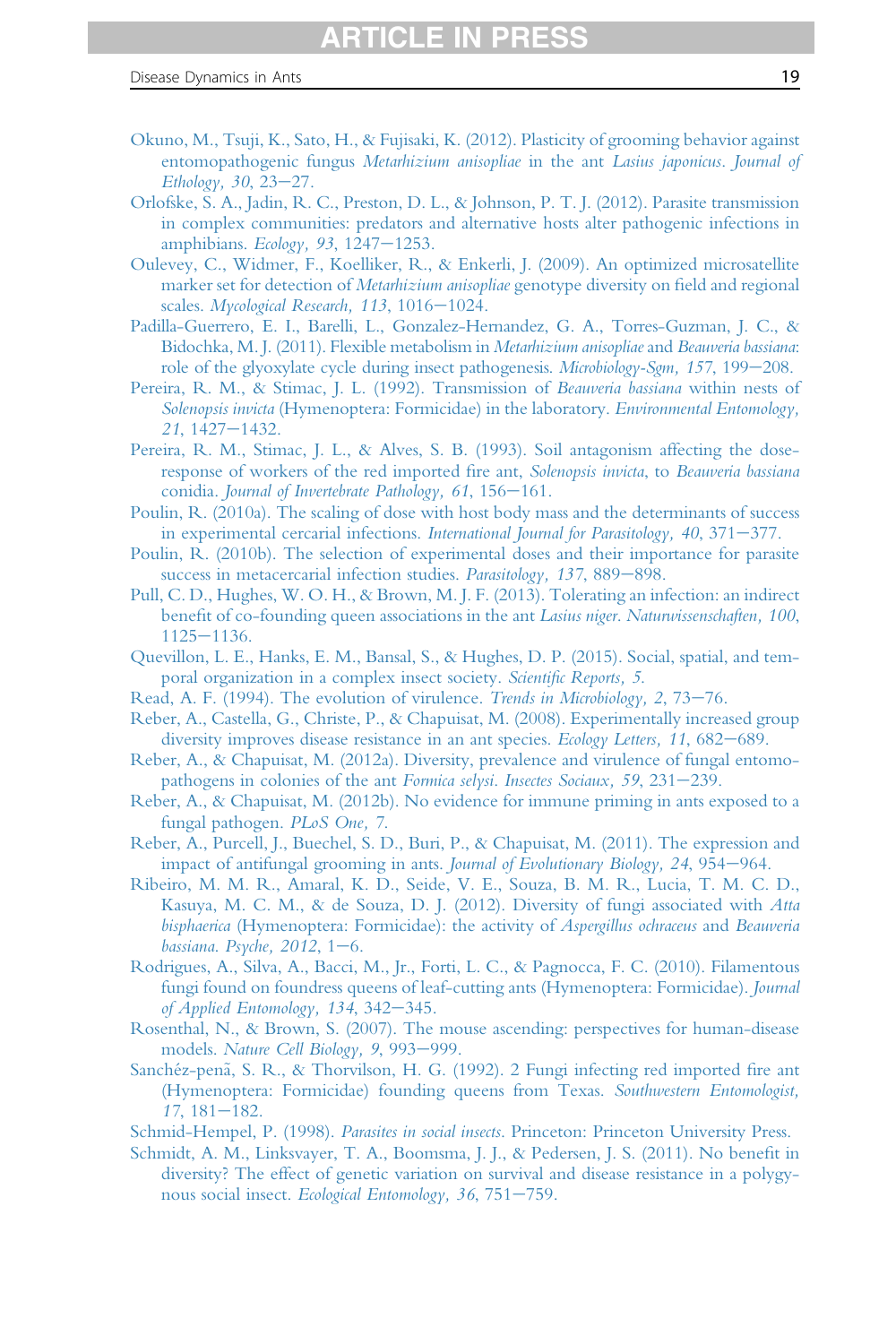- Okuno, M., Tsuji, K., Sato, H., & Fujisaki, K. (2012). Plasticity of grooming behavior against entomopathogenic fungus Metarhizium anisopliae in the ant Lasius japonicus. Journal of Ethology,  $30, 23-27$ .
- Orlofske, S. A., Jadin, R. C., Preston, D. L., & Johnson, P. T. J. (2012). Parasite transmission in complex communities: predators and alternative hosts alter pathogenic infections in amphibians. Ecology, 93, 1247 $-1253$ .
- Oulevey, C., Widmer, F., Koelliker, R., & Enkerli, J. (2009). An optimized microsatellite marker set for detection of Metarhizium anisopliae genotype diversity on field and regional scales. Mycological Research, 113, 1016-1024.
- Padilla-Guerrero, E. I., Barelli, L., Gonzalez-Hernandez, G. A., Torres-Guzman, J. C., & Bidochka, M. J. (2011). Flexible metabolism in Metarhizium anisopliae and Beauveria bassiana: role of the glyoxylate cycle during insect pathogenesis. Microbiology-Sgm, 157, 199–208.
- Pereira, R. M., & Stimac, J. L. (1992). Transmission of Beauveria bassiana within nests of Solenopsis invicta (Hymenoptera: Formicidae) in the laboratory. Environmental Entomology, 21, 1427-1432.
- Pereira, R. M., Stimac, J. L., & Alves, S. B. (1993). Soil antagonism affecting the doseresponse of workers of the red imported fire ant, Solenopsis invicta, to Beauveria bassiana conidia. Journal of Invertebrate Pathology, 61, 156-161.
- Poulin, R. (2010a). The scaling of dose with host body mass and the determinants of success in experimental cercarial infections. International Journal for Parasitology,  $40, 371-377$ .
- Poulin, R. (2010b). The selection of experimental doses and their importance for parasite success in metacercarial infection studies. Parasitology, 137, 889-898.
- Pull, C. D., Hughes, W. O. H., & Brown, M. J. F. (2013). Tolerating an infection: an indirect benefit of co-founding queen associations in the ant Lasius niger. Naturwissenschaften, 100,  $1125 - 1136.$
- Quevillon, L. E., Hanks, E. M., Bansal, S., & Hughes, D. P. (2015). Social, spatial, and temporal organization in a complex insect society. Scientific Reports, 5.
- Read, A. F. (1994). The evolution of virulence. Trends in Microbiology, 2, 73-76.
- Reber, A., Castella, G., Christe, P., & Chapuisat, M. (2008). Experimentally increased group diversity improves disease resistance in an ant species. Ecology Letters, 11, 682–689.
- Reber, A., & Chapuisat, M. (2012a). Diversity, prevalence and virulence of fungal entomopathogens in colonies of the ant Formica selysi. Insectes Sociaux, 59, 231–239.
- Reber, A., & Chapuisat, M. (2012b). No evidence for immune priming in ants exposed to a fungal pathogen. PLoS One, 7.
- Reber, A., Purcell, J., Buechel, S. D., Buri, P., & Chapuisat, M. (2011). The expression and impact of antifungal grooming in ants. Journal of Evolutionary Biology,  $24$ ,  $954-964$ .
- Ribeiro, M. M. R., Amaral, K. D., Seide, V. E., Souza, B. M. R., Lucia, T. M. C. D., Kasuya, M. C. M., & de Souza, D. J. (2012). Diversity of fungi associated with Atta bisphaerica (Hymenoptera: Formicidae): the activity of Aspergillus ochraceus and Beauveria bassiana. Psyche,  $2012$ ,  $1-6$ .
- Rodrigues, A., Silva, A., Bacci, M., Jr., Forti, L. C., & Pagnocca, F. C. (2010). Filamentous fungi found on foundress queens of leaf-cutting ants (Hymenoptera: Formicidae). Journal of Applied Entomology, 134, 342–345.
- Rosenthal, N., & Brown, S. (2007). The mouse ascending: perspectives for human-disease models. Nature Cell Biology, 9, 993-999.
- Sanchéz-penã, S. R., & Thorvilson, H. G. (1992). 2 Fungi infecting red imported fire ant (Hymenoptera: Formicidae) founding queens from Texas. Southwestern Entomologist,  $17, 181 - 182.$
- Schmid-Hempel, P. (1998). *Parasites in social insects*. Princeton: Princeton University Press.
- Schmidt, A. M., Linksvayer, T. A., Boomsma, J. J., & Pedersen, J. S. (2011). No benefit in diversity? The effect of genetic variation on survival and disease resistance in a polygynous social insect. Ecological Entomology, 36, 751-759.